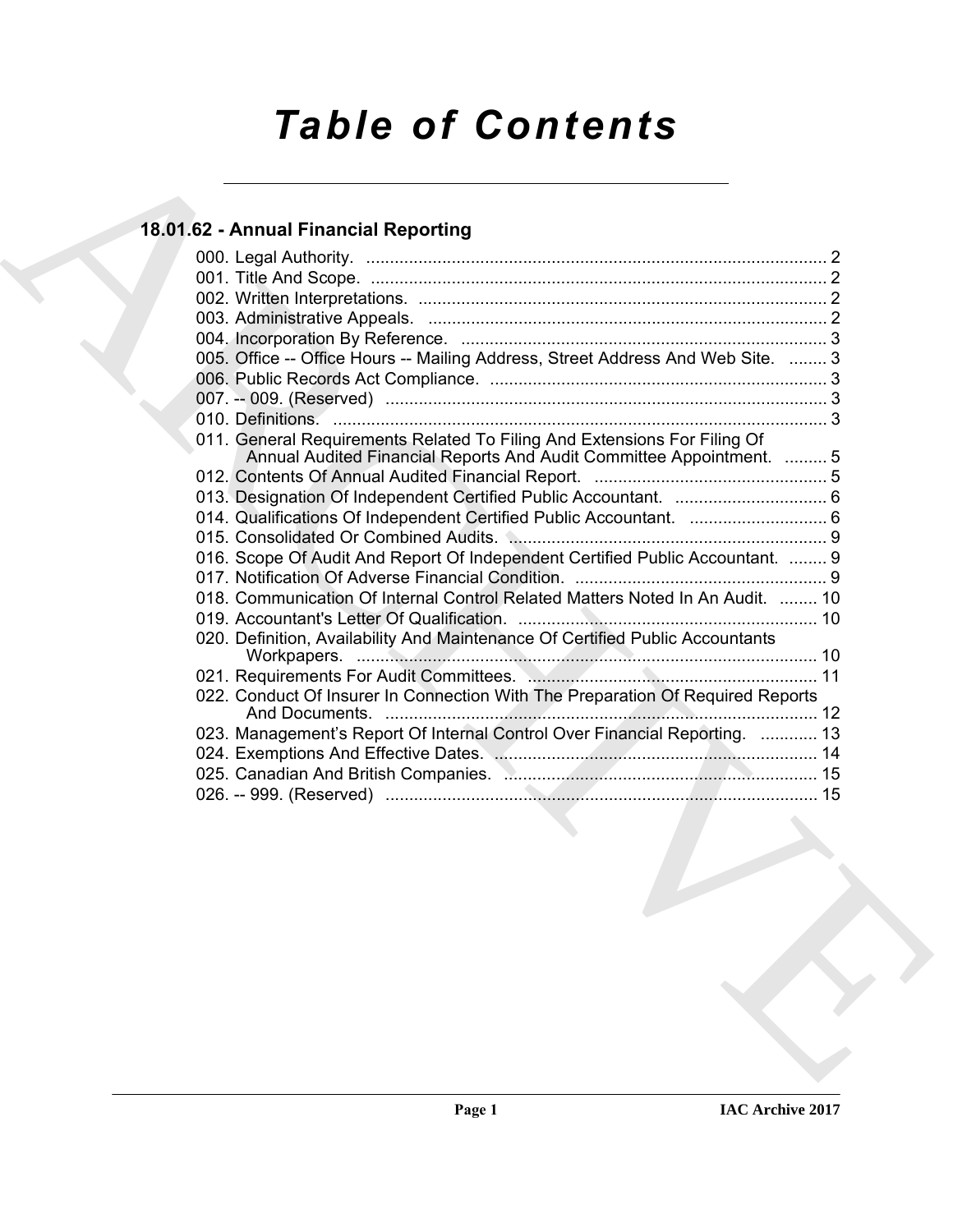# *Table of Contents*

# **18.01.62 - Annual Financial Reporting**

| 005. Office -- Office Hours -- Mailing Address, Street Address And Web Site.  3                                                                  |
|--------------------------------------------------------------------------------------------------------------------------------------------------|
|                                                                                                                                                  |
|                                                                                                                                                  |
|                                                                                                                                                  |
| 011. General Requirements Related To Filing And Extensions For Filing Of<br>Annual Audited Financial Reports And Audit Committee Appointment.  5 |
|                                                                                                                                                  |
|                                                                                                                                                  |
|                                                                                                                                                  |
|                                                                                                                                                  |
| 016. Scope Of Audit And Report Of Independent Certified Public Accountant.  9                                                                    |
| 018. Communication Of Internal Control Related Matters Noted In An Audit.  10                                                                    |
|                                                                                                                                                  |
| 020. Definition, Availability And Maintenance Of Certified Public Accountants                                                                    |
|                                                                                                                                                  |
| 022. Conduct Of Insurer In Connection With The Preparation Of Required Reports                                                                   |
| 023. Management's Report Of Internal Control Over Financial Reporting.  13                                                                       |
|                                                                                                                                                  |
|                                                                                                                                                  |
|                                                                                                                                                  |
|                                                                                                                                                  |
|                                                                                                                                                  |
|                                                                                                                                                  |
|                                                                                                                                                  |
|                                                                                                                                                  |
|                                                                                                                                                  |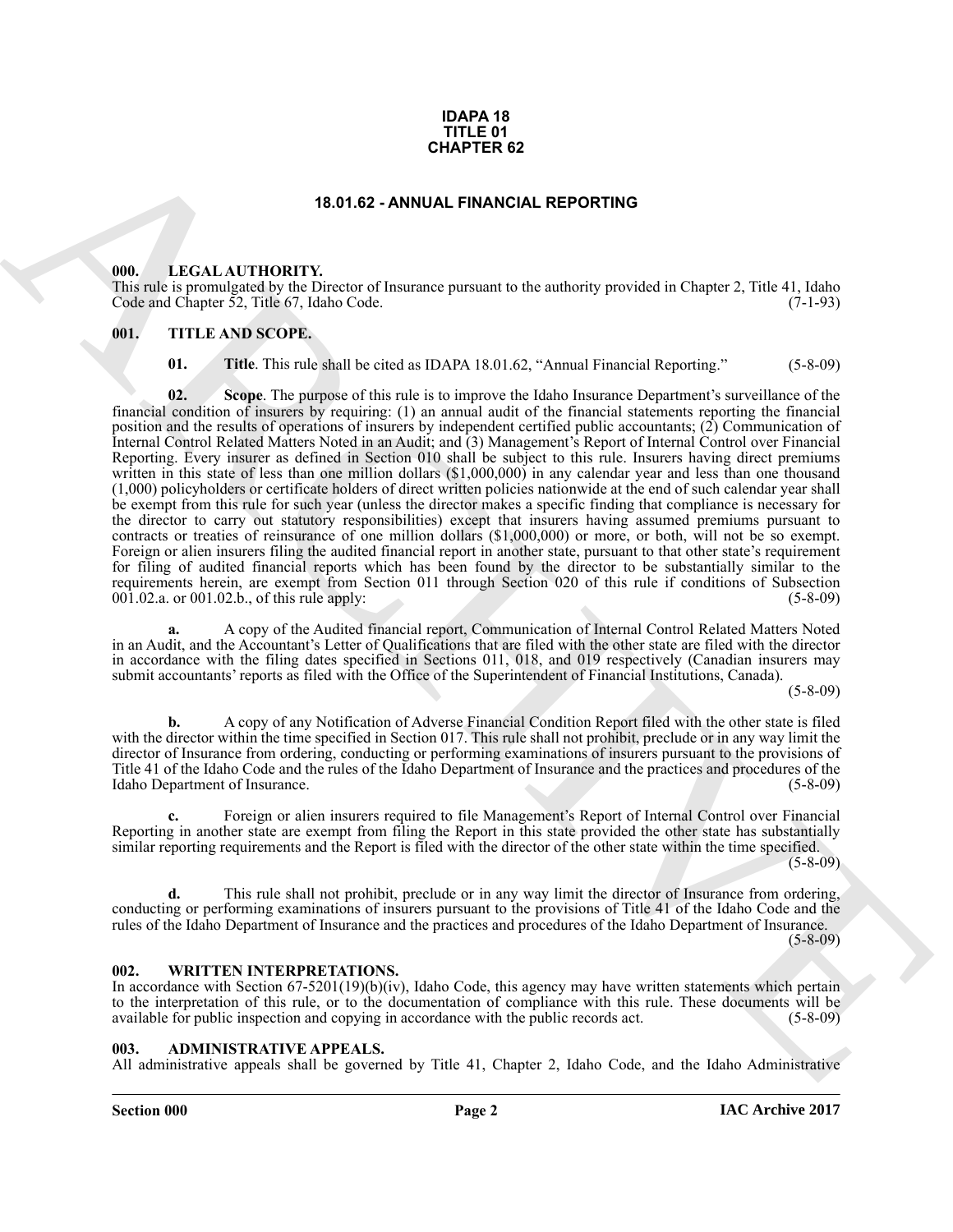#### **IDAPA 18 TITLE 01 CHAPTER 62**

#### **18.01.62 - ANNUAL FINANCIAL REPORTING**

#### <span id="page-1-1"></span><span id="page-1-0"></span>**000. LEGAL AUTHORITY.**

This rule is promulgated by the Director of Insurance pursuant to the authority provided in Chapter 2, Title 41, Idaho Code and Chapter 52, Title 67, Idaho Code. (7-1-93)

#### <span id="page-1-2"></span>**001. TITLE AND SCOPE.**

**01.** Title. This rule shall be cited as IDAPA 18.01.62, "Annual Financial Reporting." (5-8-09)

**19.0.42 - CHAPTER 62**<br> **19.0.42 - CHAPTER 62**<br> **19.1.62 - LECAL-ATTIONITY Direction of Fournise paramete to the ambitrix provided in Chapter 2. This 4.1 Idab<br>
19.2. THE AND SCOPE:<br>
19.1. THE AND SCOPE:<br>
19.1. THE AND SCO 02.** Scope. The purpose of this rule is to improve the Idaho Insurance Department's surveillance of the financial condition of insurers by requiring: (1) an annual audit of the financial statements reporting the financial position and the results of operations of insurers by independent certified public accountants; (2) Communication of Internal Control Related Matters Noted in an Audit; and (3) Management's Report of Internal Control over Financial Reporting. Every insurer as defined in Section 010 shall be subject to this rule. Insurers having direct premiums written in this state of less than one million dollars (\$1,000,000) in any calendar year and less than one thousand (1,000) policyholders or certificate holders of direct written policies nationwide at the end of such calendar year shall be exempt from this rule for such year (unless the director makes a specific finding that compliance is necessary for the director to carry out statutory responsibilities) except that insurers having assumed premiums pursuant to contracts or treaties of reinsurance of one million dollars (\$1,000,000) or more, or both, will not be so exempt. Foreign or alien insurers filing the audited financial report in another state, pursuant to that other state's requirement for filing of audited financial reports which has been found by the director to be substantially similar to the requirements herein, are exempt from Section 011 through Section 020 of this rule if conditions of Subsection 001.02.a. or 001.02.b., of this rule apply: (5-8-09) (5-8-09)

**a.** A copy of the Audited financial report, Communication of Internal Control Related Matters Noted in an Audit, and the Accountant's Letter of Qualifications that are filed with the other state are filed with the director in accordance with the filing dates specified in Sections 011, 018, and 019 respectively (Canadian insurers may submit accountants' reports as filed with the Office of the Superintendent of Financial Institutions, Canada).

(5-8-09)

**b.** A copy of any Notification of Adverse Financial Condition Report filed with the other state is filed with the director within the time specified in Section 017. This rule shall not prohibit, preclude or in any way limit the director of Insurance from ordering, conducting or performing examinations of insurers pursuant to the provisions of Title 41 of the Idaho Code and the rules of the Idaho Department of Insurance and the practices and procedures of the Idaho Department of Insurance.

**c.** Foreign or alien insurers required to file Management's Report of Internal Control over Financial Reporting in another state are exempt from filing the Report in this state provided the other state has substantially similar reporting requirements and the Report is filed with the director of the other state within the time specified.

 $(5-8-09)$ 

**d.** This rule shall not prohibit, preclude or in any way limit the director of Insurance from ordering, conducting or performing examinations of insurers pursuant to the provisions of Title 41 of the Idaho Code and the rules of the Idaho Department of Insurance and the practices and procedures of the Idaho Department of Insurance. (5-8-09)

#### <span id="page-1-3"></span>**002. WRITTEN INTERPRETATIONS.**

In accordance with Section 67-5201(19)(b)(iv), Idaho Code, this agency may have written statements which pertain to the interpretation of this rule, or to the documentation of compliance with this rule. These documents will be available for public inspection and copying in accordance with the public records act. (5-8-09) available for public inspection and copying in accordance with the public records act.

#### <span id="page-1-4"></span>**003. ADMINISTRATIVE APPEALS.**

All administrative appeals shall be governed by Title 41, Chapter 2, Idaho Code, and the Idaho Administrative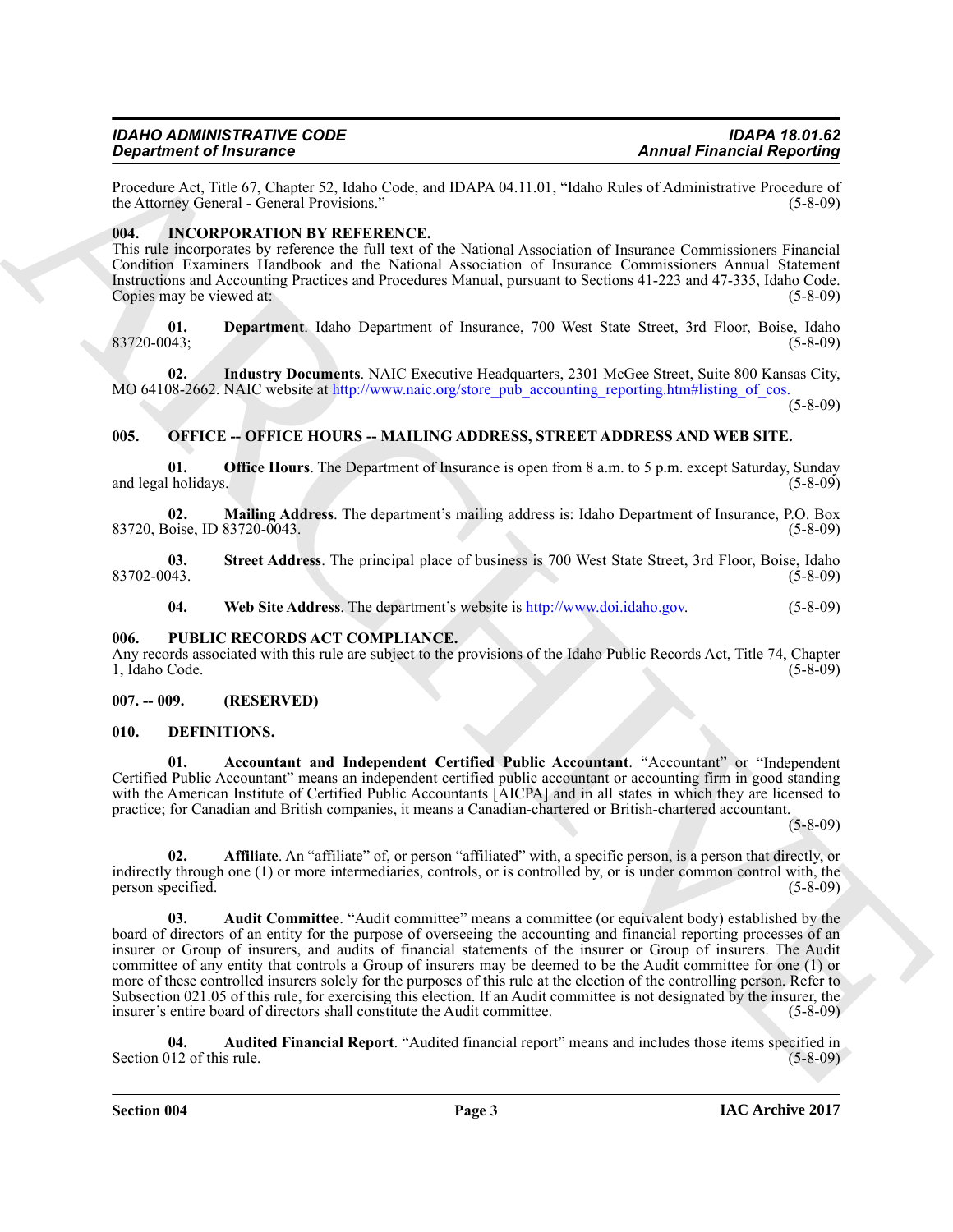# *IDAHO ADMINISTRATIVE CODE IDAPA 18.01.62*

Procedure Act, Title 67, Chapter 52, Idaho Code, and IDAPA 04.11.01, "Idaho Rules of Administrative Procedure of the Attorney General - General Provisions." (5-8-09) the Attorney General - General Provisions."

#### <span id="page-2-0"></span>**004. INCORPORATION BY REFERENCE.**

This rule incorporates by reference the full text of the National Association of Insurance Commissioners Financial Condition Examiners Handbook and the National Association of Insurance Commissioners Annual Statement Instructions and Accounting Practices and Procedures Manual, pursuant to Sections 41-223 and 47-335, Idaho Code. Copies may be viewed at: (5-8-09) (5-8-09)

**01. Department**. Idaho Department of Insurance, 700 West State Street, 3rd Floor, Boise, Idaho 83720-0043; (5-8-09)

**02. Industry Documents**. NAIC Executive Headquarters, 2301 McGee Street, Suite 800 Kansas City, MO 64108-2662. NAIC website at http://www.naic.org/store\_pub\_accounting\_reporting.htm#listing\_of\_cos

(5-8-09)

#### <span id="page-2-1"></span>**005. OFFICE -- OFFICE HOURS -- MAILING ADDRESS, STREET ADDRESS AND WEB SITE.**

**01. Office Hours**. The Department of Insurance is open from 8 a.m. to 5 p.m. except Saturday, Sunday (bolidays. (5-8-09) and legal holidays.

**02. Mailing Address**. The department's mailing address is: Idaho Department of Insurance, P.O. Box 83720, Boise, ID 83720-0043.

**03.** Street Address. The principal place of business is 700 West State Street, 3rd Floor, Boise, Idaho (5-8-09) 83702-0043. (5-8-09)

**04. Web Site Address**. The department's website is http://www.doi.idaho.gov. (5-8-09)

#### <span id="page-2-2"></span>**006. PUBLIC RECORDS ACT COMPLIANCE.**

Any records associated with this rule are subject to the provisions of the Idaho Public Records Act, Title 74, Chapter 1, Idaho Code. (5-8-09) 1, Idaho Code.

#### <span id="page-2-3"></span>**007. -- 009. (RESERVED)**

#### <span id="page-2-5"></span><span id="page-2-4"></span>**010. DEFINITIONS.**

<span id="page-2-6"></span>**01. Accountant and Independent Certified Public Accountant**. "Accountant" or "Independent Certified Public Accountant" means an independent certified public accountant or accounting firm in good standing with the American Institute of Certified Public Accountants [AICPA] and in all states in which they are licensed to practice; for Canadian and British companies, it means a Canadian-chartered or British-chartered accountant.

 $(5 - 8 - 09)$ 

<span id="page-2-8"></span><span id="page-2-7"></span>**02. Affiliate**. An "affiliate" of, or person "affiliated" with, a specific person, is a person that directly, or indirectly through one (1) or more intermediaries, controls, or is controlled by, or is under common control with, the person specified. (5-8-09) person specified.

**Experimental Control of the Control of the Control of the Control of the Control of the Control of the Control of the Control of the Control of the Control of the Control of the Control of the Control of the Control of t 03. Audit Committee**. "Audit committee" means a committee (or equivalent body) established by the board of directors of an entity for the purpose of overseeing the accounting and financial reporting processes of an insurer or Group of insurers, and audits of financial statements of the insurer or Group of insurers. The Audit committee of any entity that controls a Group of insurers may be deemed to be the Audit committee for one (1) or more of these controlled insurers solely for the purposes of this rule at the election of the controlling person. Refer to Subsection 021.05 of this rule, for exercising this election. If an Audit committee is not designated by the insurer, the insurer's entire board of directors shall constitute the Audit committee. (5-8-09)

<span id="page-2-9"></span>**04. Audited Financial Report**. "Audited financial report" means and includes those items specified in Section 012 of this rule.

**Section 004 Page 3**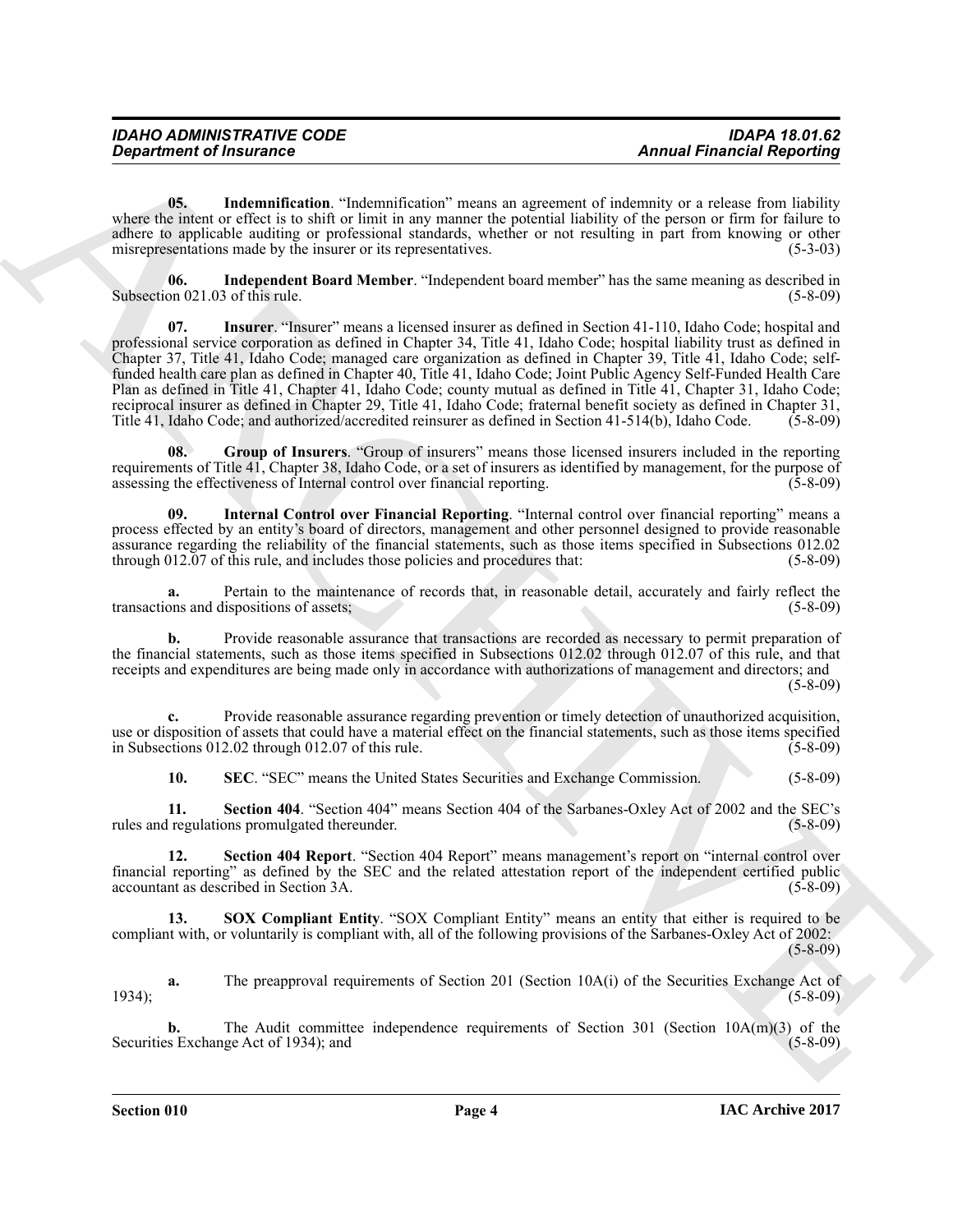<span id="page-3-1"></span>**05. Indemnification**. "Indemnification" means an agreement of indemnity or a release from liability where the intent or effect is to shift or limit in any manner the potential liability of the person or firm for failure to adhere to applicable auditing or professional standards, whether or not resulting in part from knowing or other misrepresentations made by the insurer or its representatives. (5-3-03)

<span id="page-3-3"></span><span id="page-3-2"></span>**06.** Independent Board Member. "Independent board member" has the same meaning as described in on 021.03 of this rule. Subsection  $021.03$  of this rule.

**Expariment of framework** control transmitted on "internal temperature and methods of antitive stationary of the stationary of the stationary of the stationary of the stationary of the stationary of the stationary of the **07. Insurer**. "Insurer" means a licensed insurer as defined in Section 41-110, Idaho Code; hospital and professional service corporation as defined in Chapter 34, Title 41, Idaho Code; hospital liability trust as defined in Chapter 37, Title 41, Idaho Code; managed care organization as defined in Chapter 39, Title 41, Idaho Code; selffunded health care plan as defined in Chapter 40, Title 41, Idaho Code; Joint Public Agency Self-Funded Health Care Plan as defined in Title 41, Chapter 41, Idaho Code; county mutual as defined in Title 41, Chapter 31, Idaho Code; reciprocal insurer as defined in Chapter 29, Title 41, Idaho Code; fraternal benefit society as defined in Chapter 31, Title 41, Idaho Code; and authorized/accredited reinsurer as defined in Section 41-514(b), Idaho Code. (5-8-09)

<span id="page-3-0"></span>**08. Group of Insurers**. "Group of insurers" means those licensed insurers included in the reporting requirements of Title 41, Chapter 38, Idaho Code, or a set of insurers as identified by management, for the purpose of assessing the effectiveness of Internal control over financial reporting. assessing the effectiveness of Internal control over financial reporting.

<span id="page-3-4"></span>**09. Internal Control over Financial Reporting**. "Internal control over financial reporting" means a process effected by an entity's board of directors, management and other personnel designed to provide reasonable assurance regarding the reliability of the financial statements, such as those items specified in Subsections 012.02 through 012.07 of this rule, and includes those policies and procedures that: (5-8-09)

**a.** Pertain to the maintenance of records that, in reasonable detail, accurately and fairly reflect the ons and dispositions of assets: (5-8-09) transactions and dispositions of assets;

**b.** Provide reasonable assurance that transactions are recorded as necessary to permit preparation of the financial statements, such as those items specified in Subsections 012.02 through 012.07 of this rule, and that receipts and expenditures are being made only in accordance with authorizations of management and directors; and (5-8-09)

**c.** Provide reasonable assurance regarding prevention or timely detection of unauthorized acquisition, use or disposition of assets that could have a material effect on the financial statements, such as those items specified in Subsections 012.02 through 012.07 of this rule. (5-8-09)

<span id="page-3-7"></span><span id="page-3-6"></span><span id="page-3-5"></span>**10. SEC**. "SEC" means the United States Securities and Exchange Commission. (5-8-09)

**11. Section 404**. "Section 404" means Section 404 of the Sarbanes-Oxley Act of 2002 and the SEC's rules and regulations promulgated thereunder. (5-8-09)

**12. Section 404 Report**. "Section 404 Report" means management's report on "internal control over financial reporting" as defined by the SEC and the related attestation report of the independent certified public accountant as described in Section 3A.

<span id="page-3-8"></span>**13. SOX Compliant Entity**. "SOX Compliant Entity" means an entity that either is required to be compliant with, or voluntarily is compliant with, all of the following provisions of the Sarbanes-Oxley Act of 2002: (5-8-09)

**a.** The preapproval requirements of Section 201 (Section 10A(i) of the Securities Exchange Act of (5-8-09) 1934); (5-8-09)

**b.** The Audit committee independence requirements of Section 301 (Section 10A(m)(3) of the s Exchange Act of 1934); and (5-8-09) Securities Exchange Act of 1934); and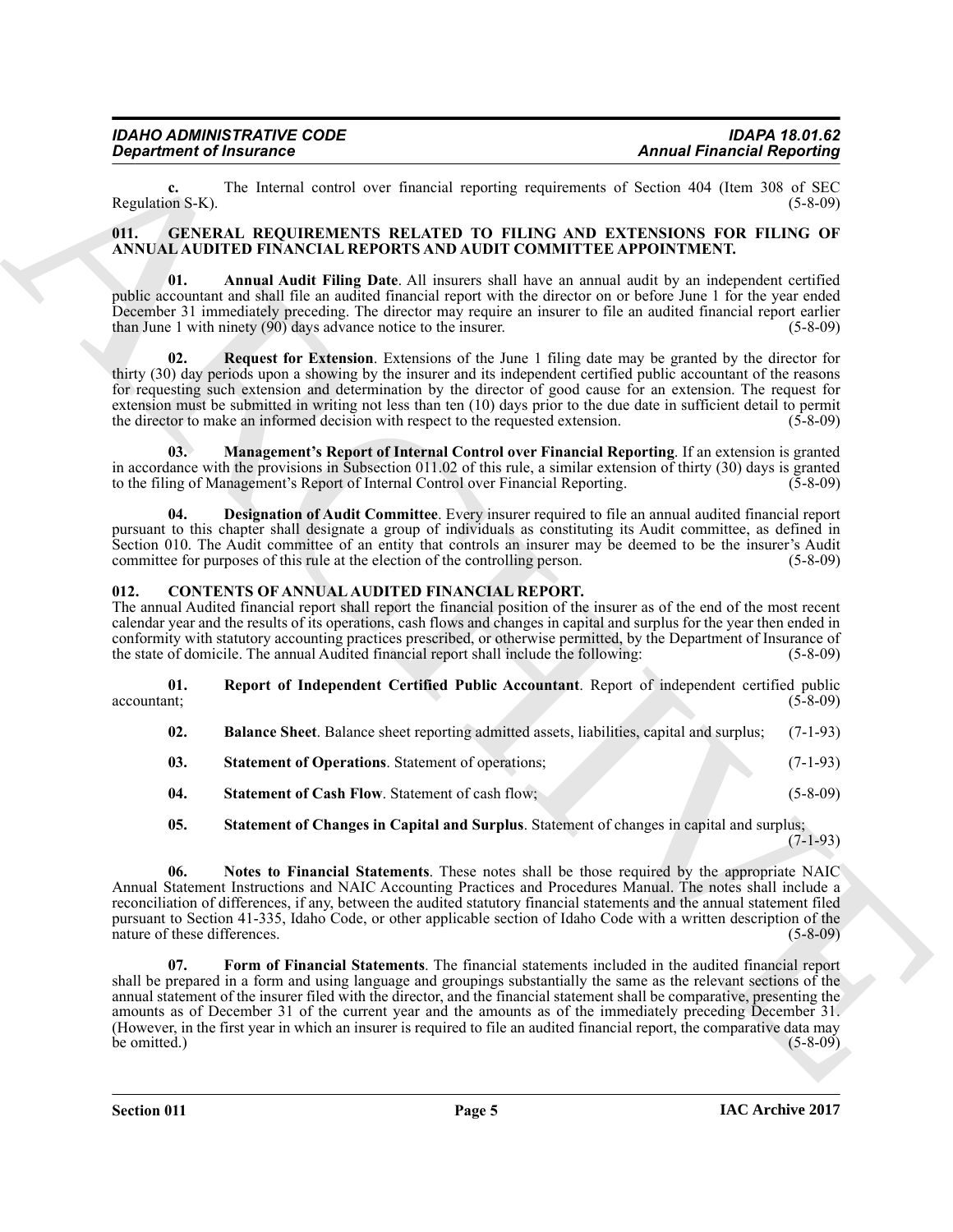**c.** The Internal control over financial reporting requirements of Section 404 (Item 308 of SEC on S-K). Regulation S-K).

#### <span id="page-4-10"></span><span id="page-4-0"></span>**011. GENERAL REQUIREMENTS RELATED TO FILING AND EXTENSIONS FOR FILING OF ANNUAL AUDITED FINANCIAL REPORTS AND AUDIT COMMITTEE APPOINTMENT.**

<span id="page-4-11"></span>**01. Annual Audit Filing Date**. All insurers shall have an annual audit by an independent certified public accountant and shall file an audited financial report with the director on or before June 1 for the year ended December 31 immediately preceding. The director may require an insurer to file an audited financial report earlier than June 1 with ninety (90) days advance notice to the insurer. (5-8-09)

<span id="page-4-14"></span>**02.** Request for Extension. Extensions of the June 1 filing date may be granted by the director for thirty (30) day periods upon a showing by the insurer and its independent certified public accountant of the reasons for requesting such extension and determination by the director of good cause for an extension. The request for extension must be submitted in writing not less than ten (10) days prior to the due date in sufficient detail to permit the director to make an informed decision with respect to the requested extension.  $(5-8-09)$ 

<span id="page-4-13"></span>**03. Management's Report of Internal Control over Financial Reporting**. If an extension is granted in accordance with the provisions in Subsection 011.02 of this rule, a similar extension of thirty (30) days is granted to the filing of Management's Report of Internal Control over Financial Reporting.

<span id="page-4-12"></span>**04. Designation of Audit Committee**. Every insurer required to file an annual audited financial report pursuant to this chapter shall designate a group of individuals as constituting its Audit committee, as defined in Section 010. The Audit committee of an entity that controls an insurer may be deemed to be the insurer's Audit committee for purposes of this rule at the election of the controlling person. (5-8-09)

# <span id="page-4-2"></span><span id="page-4-1"></span>**012. CONTENTS OF ANNUAL AUDITED FINANCIAL REPORT.**

The annual Audited financial report shall report the financial position of the insurer as of the end of the most recent calendar year and the results of its operations, cash flows and changes in capital and surplus for the year then ended in conformity with statutory accounting practices prescribed, or otherwise permitted, by the Department of Insurance of the state of domicile. The annual Audited financial report shall include the following: (5-8-09)

**01. Report of Independent Certified Public Accountant**. Report of independent certified public  $\alpha$  accountant;  $(5-8-09)$ 

<span id="page-4-6"></span><span id="page-4-3"></span>

| $\mathbf{02.}$ | <b>Balance Sheet</b> . Balance sheet reporting admitted assets, liabilities, capital and surplus; (7-1-93) |  |  |  |  |
|----------------|------------------------------------------------------------------------------------------------------------|--|--|--|--|
|                |                                                                                                            |  |  |  |  |

- <span id="page-4-9"></span>**03.** Statement of Operations. Statement of operations; (7-1-93)
- <span id="page-4-7"></span>**04.** Statement of Cash Flow. Statement of cash flow; (5-8-09)

<span id="page-4-8"></span><span id="page-4-5"></span>**05. Statement of Changes in Capital and Surplus**. Statement of changes in capital and surplus;

(7-1-93)

<span id="page-4-4"></span>**06. Notes to Financial Statements**. These notes shall be those required by the appropriate NAIC Annual Statement Instructions and NAIC Accounting Practices and Procedures Manual. The notes shall include a reconciliation of differences, if any, between the audited statutory financial statements and the annual statement filed pursuant to Section 41-335, Idaho Code, or other applicable section of Idaho Code with a written description of the nature of these differences. (5-8-09)

**Equation of Instance Constraints Constraints Constraints Constraints Constraints (Space)<br>
Requires SK), Resident constraints (Space) and the space of the space of the space of the space of the space of the space of the s 07. Form of Financial Statements**. The financial statements included in the audited financial report shall be prepared in a form and using language and groupings substantially the same as the relevant sections of the annual statement of the insurer filed with the director, and the financial statement shall be comparative, presenting the amounts as of December 31 of the current year and the amounts as of the immediately preceding December 31. (However, in the first year in which an insurer is required to file an audited financial report, the comparative data may be omitted.)  $(5-8-09)$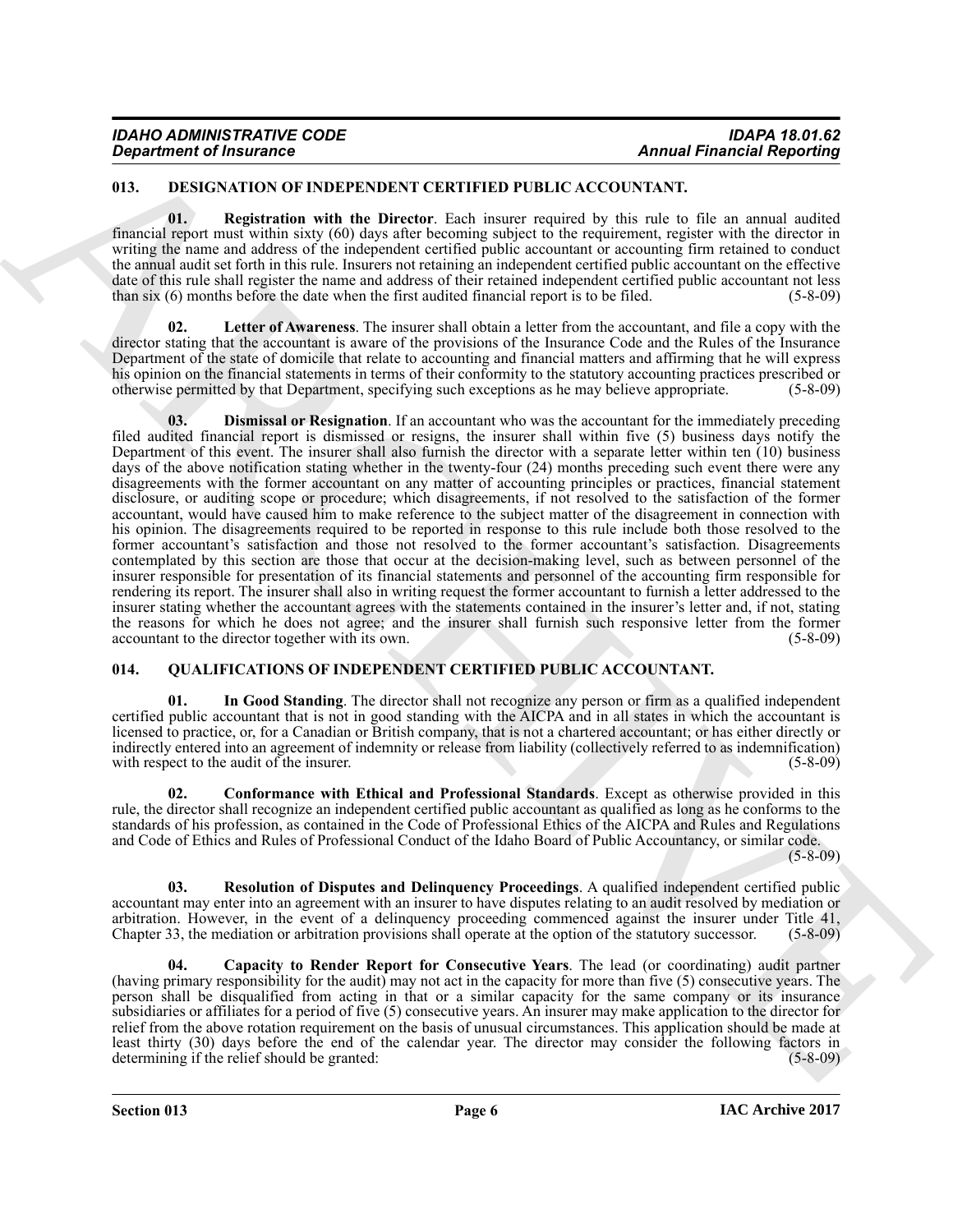#### <span id="page-5-2"></span><span id="page-5-0"></span>**013. DESIGNATION OF INDEPENDENT CERTIFIED PUBLIC ACCOUNTANT.**

<span id="page-5-5"></span>**01. Registration with the Director**. Each insurer required by this rule to file an annual audited financial report must within sixty (60) days after becoming subject to the requirement, register with the director in writing the name and address of the independent certified public accountant or accounting firm retained to conduct the annual audit set forth in this rule. Insurers not retaining an independent certified public accountant on the effective date of this rule shall register the name and address of their retained independent certified public accountant not less than six (6) months before the date when the first audited financial report is to be filed. (5-8-09)

<span id="page-5-4"></span><span id="page-5-3"></span>**Letter of Awareness**. The insurer shall obtain a letter from the accountant, and file a copy with the director stating that the accountant is aware of the provisions of the Insurance Code and the Rules of the Insurance Department of the state of domicile that relate to accounting and financial matters and affirming that he will express his opinion on the financial statements in terms of their conformity to the statutory accounting practices prescribed or otherwise permitted by that Department, specifying such exceptions as he may believe appropriate. (5otherwise permitted by that Department, specifying such exceptions as he may believe appropriate. (5-8-09)

ARCHIVE **03. Dismissal or Resignation**. If an accountant who was the accountant for the immediately preceding filed audited financial report is dismissed or resigns, the insurer shall within five (5) business days notify the Department of this event. The insurer shall also furnish the director with a separate letter within ten (10) business days of the above notification stating whether in the twenty-four  $(24)$  months preceding such event there were any disagreements with the former accountant on any matter of accounting principles or practices, financial statement disclosure, or auditing scope or procedure; which disagreements, if not resolved to the satisfaction of the former accountant, would have caused him to make reference to the subject matter of the disagreement in connection with his opinion. The disagreements required to be reported in response to this rule include both those resolved to the former accountant's satisfaction and those not resolved to the former accountant's satisfaction. Disagreements contemplated by this section are those that occur at the decision-making level, such as between personnel of the insurer responsible for presentation of its financial statements and personnel of the accounting firm responsible for rendering its report. The insurer shall also in writing request the former accountant to furnish a letter addressed to the insurer stating whether the accountant agrees with the statements contained in the insurer's letter and, if not, stating the reasons for which he does not agree; and the insurer shall furnish such responsive letter from the former accountant to the director together with its own. (5-8-09) accountant to the director together with its own.

#### <span id="page-5-6"></span><span id="page-5-1"></span>**014. QUALIFICATIONS OF INDEPENDENT CERTIFIED PUBLIC ACCOUNTANT.**

<span id="page-5-9"></span>**01. In Good Standing**. The director shall not recognize any person or firm as a qualified independent certified public accountant that is not in good standing with the AICPA and in all states in which the accountant is licensed to practice, or, for a Canadian or British company, that is not a chartered accountant; or has either directly or indirectly entered into an agreement of indemnity or release from liability (collectively referred to as indemnification) with respect to the audit of the insurer.

<span id="page-5-8"></span>**02. Conformance with Ethical and Professional Standards**. Except as otherwise provided in this rule, the director shall recognize an independent certified public accountant as qualified as long as he conforms to the standards of his profession, as contained in the Code of Professional Ethics of the AICPA and Rules and Regulations and Code of Ethics and Rules of Professional Conduct of the Idaho Board of Public Accountancy, or similar code.

(5-8-09)

<span id="page-5-10"></span>**03. Resolution of Disputes and Delinquency Proceedings**. A qualified independent certified public accountant may enter into an agreement with an insurer to have disputes relating to an audit resolved by mediation or arbitration. However, in the event of a delinquency proceeding commenced against the insurer under Title 41, Chapter 33, the mediation or arbitration provisions shall operate at the option of the statutory successor. (5-8-Chapter 33, the mediation or arbitration provisions shall operate at the option of the statutory successor.

<span id="page-5-7"></span>**04. Capacity to Render Report for Consecutive Years**. The lead (or coordinating) audit partner (having primary responsibility for the audit) may not act in the capacity for more than five (5) consecutive years. The person shall be disqualified from acting in that or a similar capacity for the same company or its insurance subsidiaries or affiliates for a period of five (5) consecutive years. An insurer may make application to the director for relief from the above rotation requirement on the basis of unusual circumstances. This application should be made at least thirty (30) days before the end of the calendar year. The director may consider the following factors in determining if the relief should be granted: (5-8-09) determining if the relief should be granted: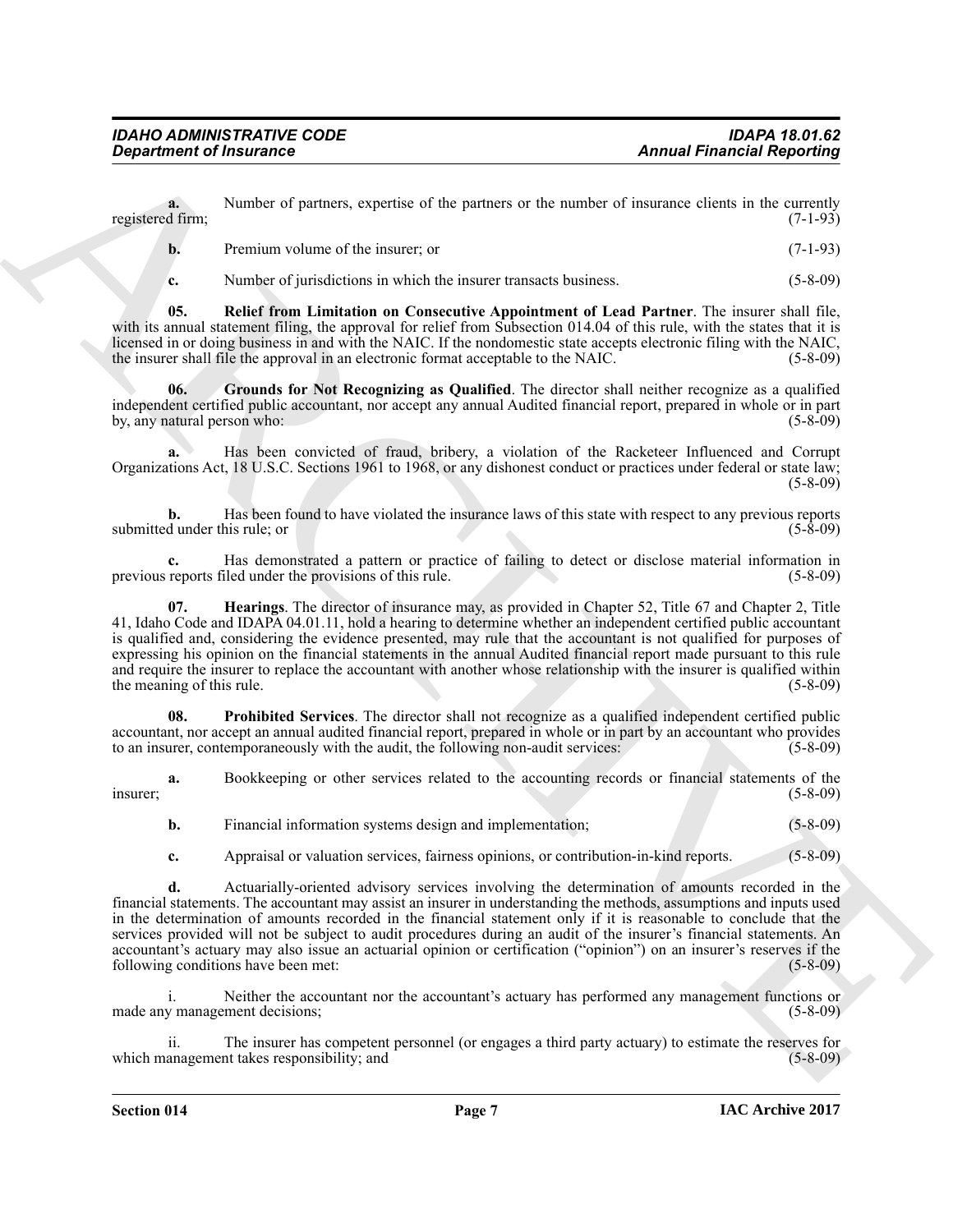**a.** Number of partners, expertise of the partners or the number of insurance clients in the currently d firm: (7-1-93) registered firm;

**b.** Premium volume of the insurer; or (7-1-93)

<span id="page-6-3"></span><span id="page-6-0"></span>**c.** Number of jurisdictions in which the insurer transacts business. (5-8-09)

**05. Relief from Limitation on Consecutive Appointment of Lead Partner**. The insurer shall file, with its annual statement filing, the approval for relief from Subsection 014.04 of this rule, with the states that it is licensed in or doing business in and with the NAIC. If the nondomestic state accepts electronic filing with the NAIC, the insurer shall file the approval in an electronic format acceptable to the NAIC. (5-8-09) the insurer shall file the approval in an electronic format acceptable to the NAIC.

**06. Grounds for Not Recognizing as Qualified**. The director shall neither recognize as a qualified independent certified public accountant, nor accept any annual Audited financial report, prepared in whole or in part by, any natural person who: (5-8-09)

**a.** Has been convicted of fraud, bribery, a violation of the Racketeer Influenced and Corrupt Organizations Act, 18 U.S.C. Sections 1961 to 1968, or any dishonest conduct or practices under federal or state law;  $(5-8-09)$ 

**b.** Has been found to have violated the insurance laws of this state with respect to any previous reports dunder this rule: or (5-8-09) submitted under this rule; or

<span id="page-6-1"></span>**c.** Has demonstrated a pattern or practice of failing to detect or disclose material information in reports filed under the provisions of this rule. (5-8-09) previous reports filed under the provisions of this rule.

**Exparament of financial experiments**<br>
Area of painters of the painters on the annual Francisch Research Research<br>
Neuron of painters is the state of the state of the state of the state of the state of the state of the st **07. Hearings**. The director of insurance may, as provided in Chapter 52, Title 67 and Chapter 2, Title 41, Idaho Code and IDAPA 04.01.11, hold a hearing to determine whether an independent certified public accountant is qualified and, considering the evidence presented, may rule that the accountant is not qualified for purposes of expressing his opinion on the financial statements in the annual Audited financial report made pursuant to this rule and require the insurer to replace the accountant with another whose relationship with the insurer is qualified within the meaning of this rule. (5-8-09) (5-8-09)

<span id="page-6-2"></span>**08. Prohibited Services**. The director shall not recognize as a qualified independent certified public accountant, nor accept an annual audited financial report, prepared in whole or in part by an accountant who provides to an insurer, contemporaneously with the audit, the following non-audit services: (5-8-09)

**a.** Bookkeeping or other services related to the accounting records or financial statements of the (5-8-09)  $\frac{1}{5-8-09}$  (5-8-09)

**b.** Financial information systems design and implementation; (5-8-09)

**c.** Appraisal or valuation services, fairness opinions, or contribution-in-kind reports. (5-8-09)

**d.** Actuarially-oriented advisory services involving the determination of amounts recorded in the financial statements. The accountant may assist an insurer in understanding the methods, assumptions and inputs used in the determination of amounts recorded in the financial statement only if it is reasonable to conclude that the services provided will not be subject to audit procedures during an audit of the insurer's financial statements. An accountant's actuary may also issue an actuarial opinion or certification ("opinion") on an insurer's reserves if the following conditions have been met: (5-8-09) following conditions have been met:

i. Neither the accountant nor the accountant's actuary has performed any management functions or made any management decisions; (5-8-09) (5-8-09)

The insurer has competent personnel (or engages a third party actuary) to estimate the reserves for takes responsibility; and (5-8-09) which management takes responsibility; and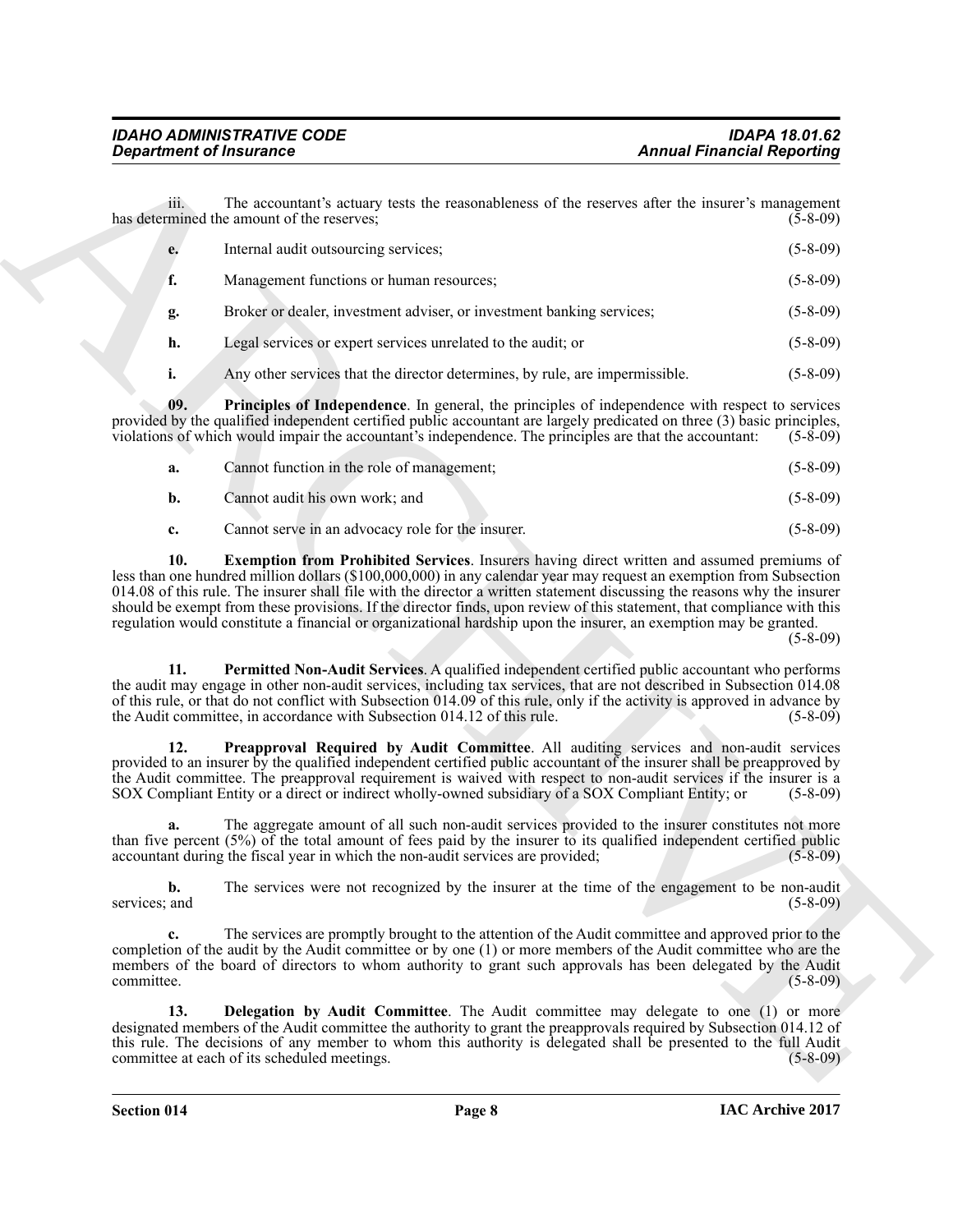|                     | <b>Department of Insurance</b>                                                                                                                                                                                                                                                                                                                                                                                                                                             | <b>Annual Financial Reporting</b> |
|---------------------|----------------------------------------------------------------------------------------------------------------------------------------------------------------------------------------------------------------------------------------------------------------------------------------------------------------------------------------------------------------------------------------------------------------------------------------------------------------------------|-----------------------------------|
| 111.                | The accountant's actuary tests the reasonableness of the reserves after the insurer's management<br>has determined the amount of the reserves;                                                                                                                                                                                                                                                                                                                             | $(5-8-09)$                        |
| e.                  | Internal audit outsourcing services;                                                                                                                                                                                                                                                                                                                                                                                                                                       | $(5-8-09)$                        |
| f.                  | Management functions or human resources;                                                                                                                                                                                                                                                                                                                                                                                                                                   | $(5-8-09)$                        |
| g.                  | Broker or dealer, investment adviser, or investment banking services;                                                                                                                                                                                                                                                                                                                                                                                                      | $(5-8-09)$                        |
| h.                  | Legal services or expert services unrelated to the audit; or                                                                                                                                                                                                                                                                                                                                                                                                               | $(5-8-09)$                        |
| i.                  | Any other services that the director determines, by rule, are impermissible.                                                                                                                                                                                                                                                                                                                                                                                               | $(5-8-09)$                        |
| 09.                 | <b>Principles of Independence</b> . In general, the principles of independence with respect to services<br>provided by the qualified independent certified public accountant are largely predicated on three (3) basic principles,<br>violations of which would impair the accountant's independence. The principles are that the accountant:                                                                                                                              | $(5-8-09)$                        |
| a.                  | Cannot function in the role of management;                                                                                                                                                                                                                                                                                                                                                                                                                                 | $(5-8-09)$                        |
| b.                  | Cannot audit his own work; and                                                                                                                                                                                                                                                                                                                                                                                                                                             | $(5-8-09)$                        |
| c.                  | Cannot serve in an advocacy role for the insurer.                                                                                                                                                                                                                                                                                                                                                                                                                          | $(5 - 8 - 09)$                    |
| 11.                 | 014.08 of this rule. The insurer shall file with the director a written statement discussing the reasons why the insurer<br>should be exempt from these provisions. If the director finds, upon review of this statement, that compliance with this<br>regulation would constitute a financial or organizational hardship upon the insurer, an exemption may be granted.<br>Permitted Non-Audit Services. A qualified independent certified public accountant who performs | $(5-8-09)$                        |
|                     | the audit may engage in other non-audit services, including tax services, that are not described in Subsection 014.08<br>of this rule, or that do not conflict with Subsection 014.09 of this rule, only if the activity is approved in advance by<br>the Audit committee, in accordance with Subsection 014.12 of this rule.                                                                                                                                              | $(5-8-09)$                        |
| 12.                 | Preapproval Required by Audit Committee. All auditing services and non-audit services<br>provided to an insurer by the qualified independent certified public accountant of the insurer shall be preapproved by<br>the Audit committee. The preapproval requirement is waived with respect to non-audit services if the insurer is a<br>SOX Compliant Entity or a direct or indirect wholly-owned subsidiary of a SOX Compliant Entity; or                                 | $(5-8-09)$                        |
| a.                  | The aggregate amount of all such non-audit services provided to the insurer constitutes not more<br>than five percent (5%) of the total amount of fees paid by the insurer to its qualified independent certified public<br>accountant during the fiscal year in which the non-audit services are provided;                                                                                                                                                                | $(5 - 8 - 09)$                    |
| b.<br>services; and | The services were not recognized by the insurer at the time of the engagement to be non-audit                                                                                                                                                                                                                                                                                                                                                                              | $(5-8-09)$                        |
| c.<br>committee.    | The services are promptly brought to the attention of the Audit committee and approved prior to the<br>completion of the audit by the Audit committee or by one (1) or more members of the Audit committee who are the<br>members of the board of directors to whom authority to grant such approvals has been delegated by the Audit                                                                                                                                      | $(5-8-09)$                        |
| 13.                 | Delegation by Audit Committee. The Audit committee may delegate to one (1) or more<br>designated members of the Audit committee the authority to grant the preapprovals required by Subsection 014.12 of<br>this rule. The decisions of any member to whom this authority is delegated shall be presented to the full Audit<br>committee at each of its scheduled meetings.                                                                                                | $(5-8-09)$                        |

<span id="page-7-4"></span><span id="page-7-3"></span><span id="page-7-2"></span><span id="page-7-1"></span><span id="page-7-0"></span>

| а. | Cannot function in the role of management;        | $(5 - 8 - 09)$ |
|----|---------------------------------------------------|----------------|
| b. | Cannot audit his own work; and                    | $(5 - 8 - 09)$ |
|    | Cannot serve in an advocacy role for the insurer. | $(5-8-09)$     |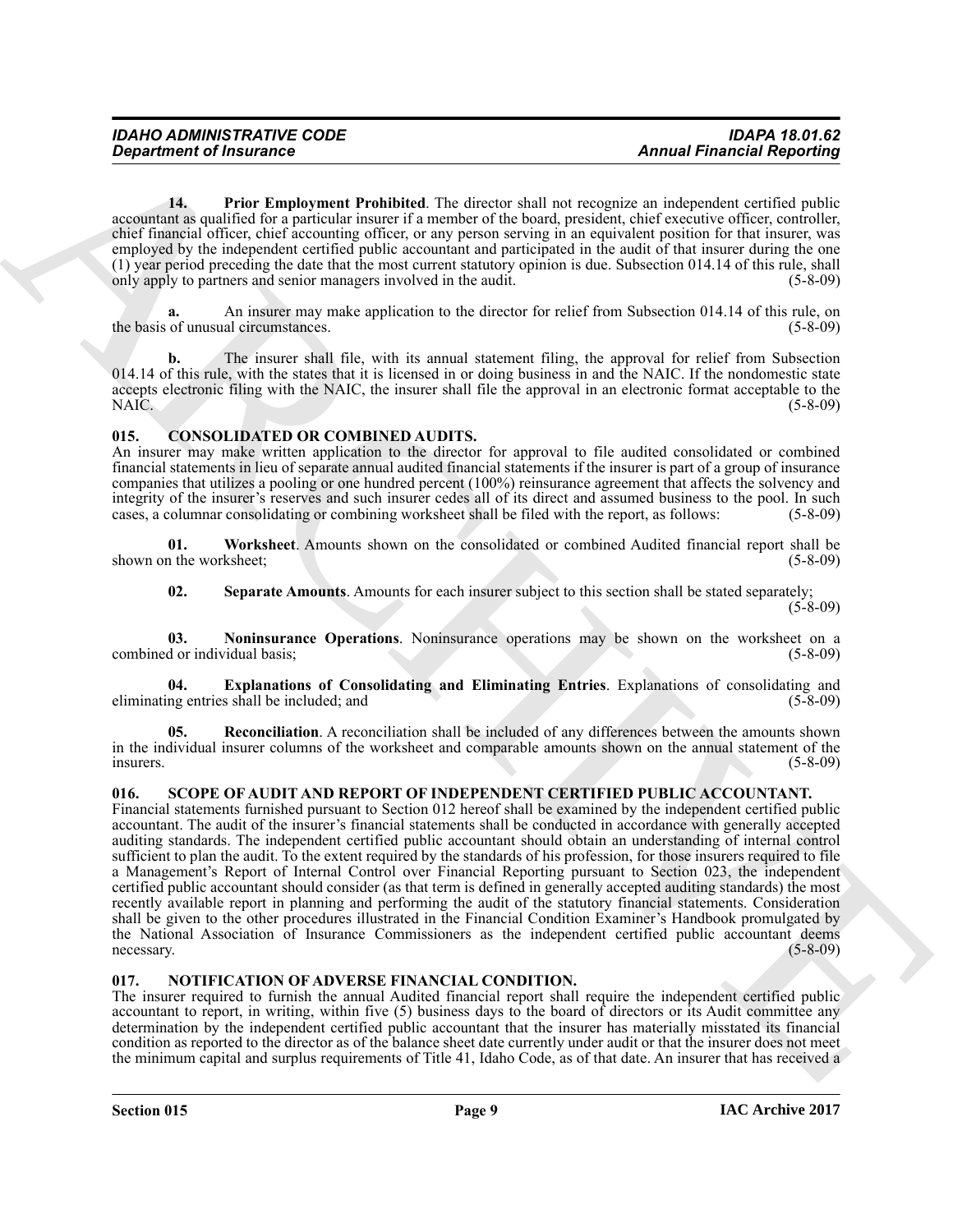<span id="page-8-10"></span>**14. Prior Employment Prohibited**. The director shall not recognize an independent certified public accountant as qualified for a particular insurer if a member of the board, president, chief executive officer, controller, chief financial officer, chief accounting officer, or any person serving in an equivalent position for that insurer, was employed by the independent certified public accountant and participated in the audit of that insurer during the one (1) year period preceding the date that the most current statutory opinion is due. Subsection  $014.14$  of this rule, shall only apply to partners and senior managers involved in the audit. only apply to partners and senior managers involved in the audit.

**a.** An insurer may make application to the director for relief from Subsection 014.14 of this rule, on the basis of unusual circumstances. (5-8-09)

**b.** The insurer shall file, with its annual statement filing, the approval for relief from Subsection 014.14 of this rule, with the states that it is licensed in or doing business in and the NAIC. If the nondomestic state accepts electronic filing with the NAIC, the insurer shall file the approval in an electronic format acceptable to the NAIC. (5-8-09)

### <span id="page-8-3"></span><span id="page-8-0"></span>**015. CONSOLIDATED OR COMBINED AUDITS.**

An insurer may make written application to the director for approval to file audited consolidated or combined financial statements in lieu of separate annual audited financial statements if the insurer is part of a group of insurance companies that utilizes a pooling or one hundred percent (100%) reinsurance agreement that affects the solvency and integrity of the insurer's reserves and such insurer cedes all of its direct and assumed business to the pool. In such cases, a columnar consolidating or combining worksheet shall be filed with the report, as follows: (5-8 cases, a columnar consolidating or combining worksheet shall be filed with the report, as follows:

**01. Worksheet**. Amounts shown on the consolidated or combined Audited financial report shall be shown on the worksheet; (5-8-09)

<span id="page-8-8"></span><span id="page-8-7"></span><span id="page-8-5"></span><span id="page-8-4"></span>**02. Separate Amounts**. Amounts for each insurer subject to this section shall be stated separately;  $(5-8-09)$ 

**03. Noninsurance Operations**. Noninsurance operations may be shown on the worksheet on a d or individual basis: (5-8-09) combined or individual basis;

**Explanations of Consolidating and Eliminating Entries**. Explanations of consolidating and eliminating entries shall be included; and (5-8-09)

<span id="page-8-6"></span>**05. Reconciliation**. A reconciliation shall be included of any differences between the amounts shown in the individual insurer columns of the worksheet and comparable amounts shown on the annual statement of the insurers. (5-8-09)  $\frac{1}{5-8-09}$  (5-8-09)

#### <span id="page-8-11"></span><span id="page-8-1"></span>**016. SCOPE OF AUDIT AND REPORT OF INDEPENDENT CERTIFIED PUBLIC ACCOUNTANT.**

**Expartment of financine C**<br>
14. Propries and Probabilities. The decoration and probabilities are also the thermal interaction could be presented the control of the control of the control of the control of the control of Financial statements furnished pursuant to Section 012 hereof shall be examined by the independent certified public accountant. The audit of the insurer's financial statements shall be conducted in accordance with generally accepted auditing standards. The independent certified public accountant should obtain an understanding of internal control sufficient to plan the audit. To the extent required by the standards of his profession, for those insurers required to file a Management's Report of Internal Control over Financial Reporting pursuant to Section 023, the independent certified public accountant should consider (as that term is defined in generally accepted auditing standards) the most recently available report in planning and performing the audit of the statutory financial statements. Consideration shall be given to the other procedures illustrated in the Financial Condition Examiner's Handbook promulgated by the National Association of Insurance Commissioners as the independent certified public accountant deems necessary. (5-8-09) necessary. (5-8-09)

#### <span id="page-8-9"></span><span id="page-8-2"></span>**017. NOTIFICATION OF ADVERSE FINANCIAL CONDITION.**

The insurer required to furnish the annual Audited financial report shall require the independent certified public accountant to report, in writing, within five (5) business days to the board of directors or its Audit committee any determination by the independent certified public accountant that the insurer has materially misstated its financial condition as reported to the director as of the balance sheet date currently under audit or that the insurer does not meet the minimum capital and surplus requirements of Title 41, Idaho Code, as of that date. An insurer that has received a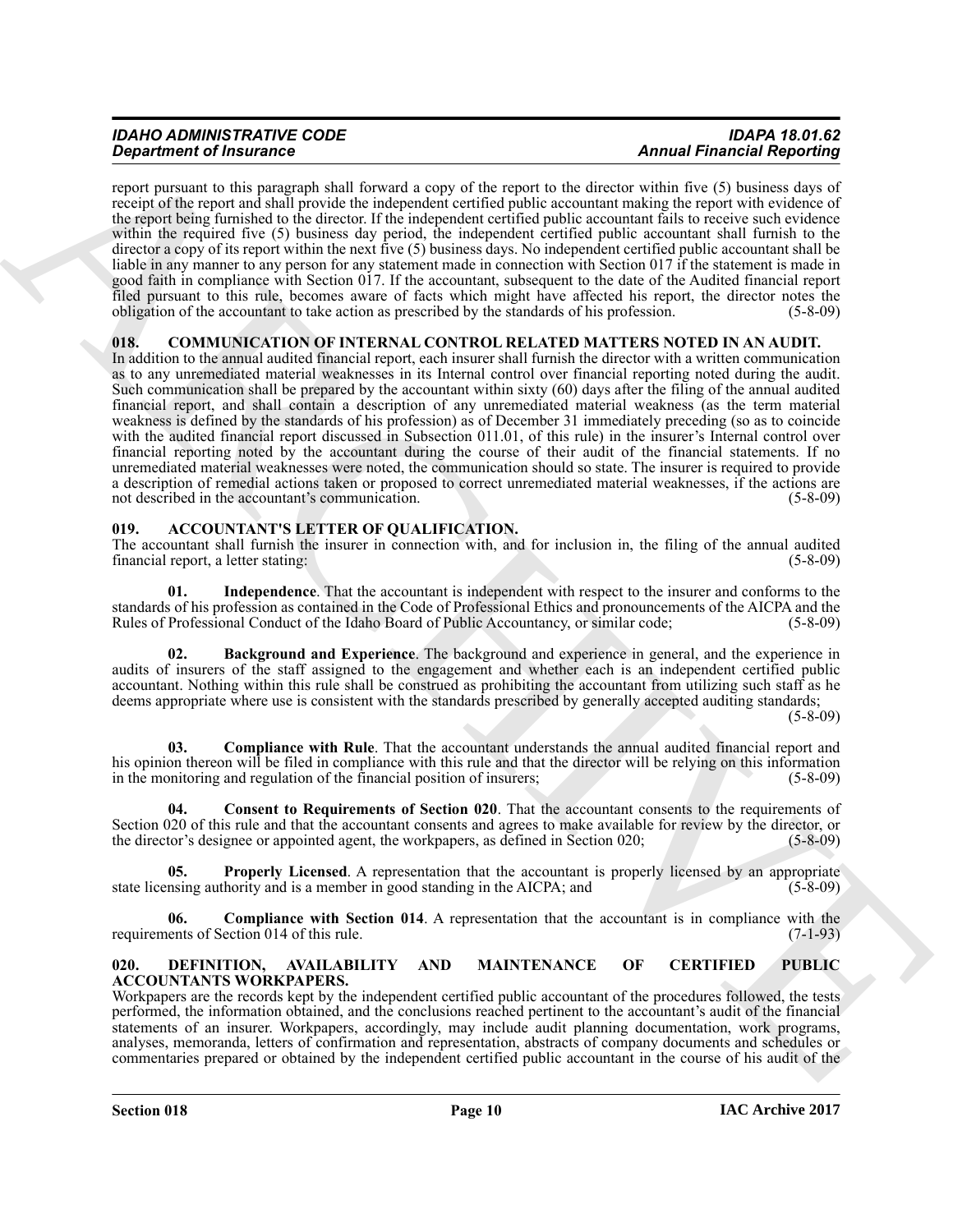# *IDAHO ADMINISTRATIVE CODE IDAPA 18.01.62*

report pursuant to this paragraph shall forward a copy of the report to the director within five (5) business days of receipt of the report and shall provide the independent certified public accountant making the report with evidence of the report being furnished to the director. If the independent certified public accountant fails to receive such evidence within the required five (5) business day period, the independent certified public accountant shall furnish to the director a copy of its report within the next five (5) business days. No independent certified public accountant shall be liable in any manner to any person for any statement made in connection with Section 017 if the statement is made in good faith in compliance with Section 017. If the accountant, subsequent to the date of the Audited financial report filed pursuant to this rule, becomes aware of facts which might have affected his report, the director notes the obligation of the accountant to take action as prescribed by the standards of his profession. (5-8-09)

#### <span id="page-9-10"></span><span id="page-9-0"></span>**018. COMMUNICATION OF INTERNAL CONTROL RELATED MATTERS NOTED IN AN AUDIT.**

**Statistics of Finances C**<br>**ARCHIVERG CONTINUES ARCHIVERG CONTINUES ARCHIVERG CONTINUES ARCHIVERG CONTINUES ARCHIVERG CONTINUES ARCHIVERG CONTINUES ARCHIVERG CONTINUES ARCHIVERG CONTINUES ARCHIVERG CONTINUES ARCHIVERG CON** In addition to the annual audited financial report, each insurer shall furnish the director with a written communication as to any unremediated material weaknesses in its Internal control over financial reporting noted during the audit. Such communication shall be prepared by the accountant within sixty (60) days after the filing of the annual audited financial report, and shall contain a description of any unremediated material weakness (as the term material weakness is defined by the standards of his profession) as of December 31 immediately preceding (so as to coincide with the audited financial report discussed in Subsection 011.01, of this rule) in the insurer's Internal control over financial reporting noted by the accountant during the course of their audit of the financial statements. If no unremediated material weaknesses were noted, the communication should so state. The insurer is required to provide a description of remedial actions taken or proposed to correct unremediated material weaknesses, if the actions are not described in the accountant's communication. (5-8-09) not described in the accountant's communication.

#### <span id="page-9-3"></span><span id="page-9-1"></span>**019. ACCOUNTANT'S LETTER OF QUALIFICATION.**

The accountant shall furnish the insurer in connection with, and for inclusion in, the filing of the annual audited financial report, a letter stating: (5-8-09) financial report, a letter stating:

<span id="page-9-8"></span>**01. Independence**. That the accountant is independent with respect to the insurer and conforms to the standards of his profession as contained in the Code of Professional Ethics and pronouncements of the AICPA and the Rules of Professional Conduct of the Idaho Board of Public Accountancy, or similar code;

<span id="page-9-4"></span>**Background and Experience**. The background and experience in general, and the experience in audits of insurers of the staff assigned to the engagement and whether each is an independent certified public accountant. Nothing within this rule shall be construed as prohibiting the accountant from utilizing such staff as he deems appropriate where use is consistent with the standards prescribed by generally accepted auditing standards;

 $(5-8-09)$ 

<span id="page-9-5"></span>**03. Compliance with Rule**. That the accountant understands the annual audited financial report and his opinion thereon will be filed in compliance with this rule and that the director will be relying on this information in the monitoring and regulation of the financial position of insurers; (5-8-09)

<span id="page-9-7"></span>**04. Consent to Requirements of Section 020**. That the accountant consents to the requirements of Section 020 of this rule and that the accountant consents and agrees to make available for review by the director, or the director's designee or appointed agent, the workpapers, as defined in Section 020; (5-8-09)

<span id="page-9-9"></span>**05. Properly Licensed**. A representation that the accountant is properly licensed by an appropriate insing authority and is a member in good standing in the AICPA; and (5-8-09) state licensing authority and is a member in good standing in the AICPA; and

<span id="page-9-6"></span>**06.** Compliance with Section 014. A representation that the accountant is in compliance with the ents of Section 014 of this rule. (7-1-93) requirements of Section 014 of this rule.

#### <span id="page-9-11"></span><span id="page-9-2"></span>**020. DEFINITION, AVAILABILITY AND MAINTENANCE OF CERTIFIED PUBLIC ACCOUNTANTS WORKPAPERS.**

Workpapers are the records kept by the independent certified public accountant of the procedures followed, the tests performed, the information obtained, and the conclusions reached pertinent to the accountant's audit of the financial statements of an insurer. Workpapers, accordingly, may include audit planning documentation, work programs, analyses, memoranda, letters of confirmation and representation, abstracts of company documents and schedules or commentaries prepared or obtained by the independent certified public accountant in the course of his audit of the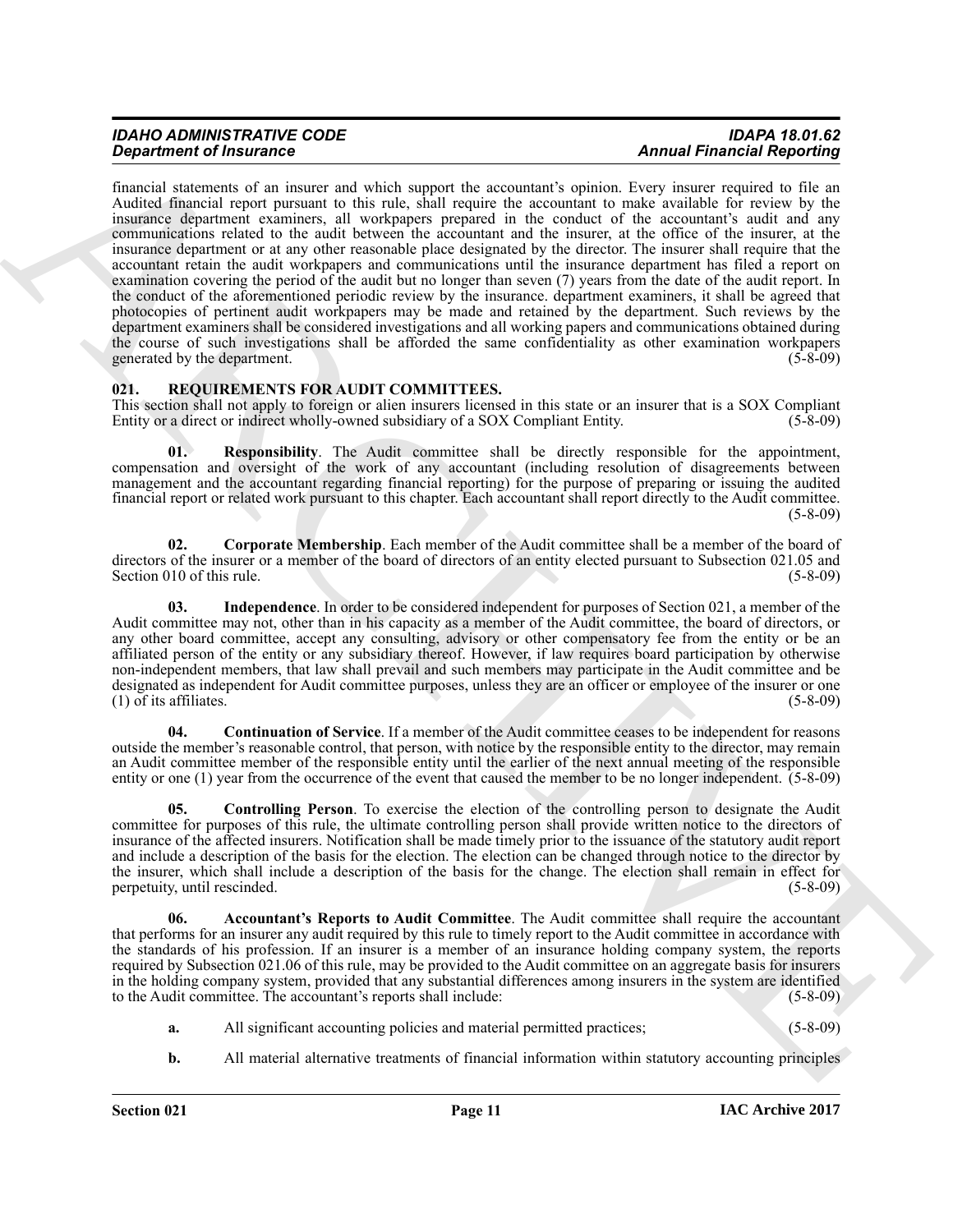# *IDAHO ADMINISTRATIVE CODE IDAPA 18.01.62*

**Operator of Francesco Constraints** on the second of the second of the second of the second of the second of the second of the second of the second of the second of the second of the second of the second of the second of financial statements of an insurer and which support the accountant's opinion. Every insurer required to file an Audited financial report pursuant to this rule, shall require the accountant to make available for review by the insurance department examiners, all workpapers prepared in the conduct of the accountant's audit and any communications related to the audit between the accountant and the insurer, at the office of the insurer, at the insurance department or at any other reasonable place designated by the director. The insurer shall require that the accountant retain the audit workpapers and communications until the insurance department has filed a report on examination covering the period of the audit but no longer than seven (7) years from the date of the audit report. In the conduct of the aforementioned periodic review by the insurance. department examiners, it shall be agreed that photocopies of pertinent audit workpapers may be made and retained by the department. Such reviews by the department examiners shall be considered investigations and all working papers and communications obtained during the course of such investigations shall be afforded the same confidentiality as other examination workpapers generated by the department. (5-8-09) generated by the department.

#### <span id="page-10-1"></span><span id="page-10-0"></span>**021. REQUIREMENTS FOR AUDIT COMMITTEES.**

This section shall not apply to foreign or alien insurers licensed in this state or an insurer that is a SOX Compliant Entity or a direct or indirect wholly-owned subsidiary of a SOX Compliant Entity. (5-8-09) Entity or a direct or indirect wholly-owned subsidiary of a SOX Compliant Entity.

<span id="page-10-7"></span>**01. Responsibility**. The Audit committee shall be directly responsible for the appointment, compensation and oversight of the work of any accountant (including resolution of disagreements between management and the accountant regarding financial reporting) for the purpose of preparing or issuing the audited financial report or related work pursuant to this chapter. Each accountant shall report directly to the Audit committee. (5-8-09)

<span id="page-10-5"></span>**02. Corporate Membership**. Each member of the Audit committee shall be a member of the board of directors of the insurer or a member of the board of directors of an entity elected pursuant to Subsection 021.05 and<br>(5-8-09) Section 010 of this rule.

<span id="page-10-6"></span>**03. Independence**. In order to be considered independent for purposes of Section 021, a member of the Audit committee may not, other than in his capacity as a member of the Audit committee, the board of directors, or any other board committee, accept any consulting, advisory or other compensatory fee from the entity or be an affiliated person of the entity or any subsidiary thereof. However, if law requires board participation by otherwise non-independent members, that law shall prevail and such members may participate in the Audit committee and be designated as independent for Audit committee purposes, unless they are an officer or employee of the insurer or one  $(1)$  of its affiliates.  $(5-8-09)$ 

<span id="page-10-3"></span>**04. Continuation of Service**. If a member of the Audit committee ceases to be independent for reasons outside the member's reasonable control, that person, with notice by the responsible entity to the director, may remain an Audit committee member of the responsible entity until the earlier of the next annual meeting of the responsible entity or one (1) year from the occurrence of the event that caused the member to be no longer independent. (5-8-09)

<span id="page-10-4"></span>**05. Controlling Person**. To exercise the election of the controlling person to designate the Audit committee for purposes of this rule, the ultimate controlling person shall provide written notice to the directors of insurance of the affected insurers. Notification shall be made timely prior to the issuance of the statutory audit report and include a description of the basis for the election. The election can be changed through notice to the director by the insurer, which shall include a description of the basis for the change. The election shall remain in effect for perpetuity until rescinded. (5-8-09) perpetuity, until rescinded.

<span id="page-10-2"></span>**06. Accountant's Reports to Audit Committee**. The Audit committee shall require the accountant that performs for an insurer any audit required by this rule to timely report to the Audit committee in accordance with the standards of his profession. If an insurer is a member of an insurance holding company system, the reports required by Subsection 021.06 of this rule, may be provided to the Audit committee on an aggregate basis for insurers in the holding company system, provided that any substantial differences among insurers in the system are identified<br>to the Audit committee. The accountant's reports shall include: (5-8-09) to the Audit committee. The accountant's reports shall include:

- **a.** All significant accounting policies and material permitted practices; (5-8-09)
- **b.** All material alternative treatments of financial information within statutory accounting principles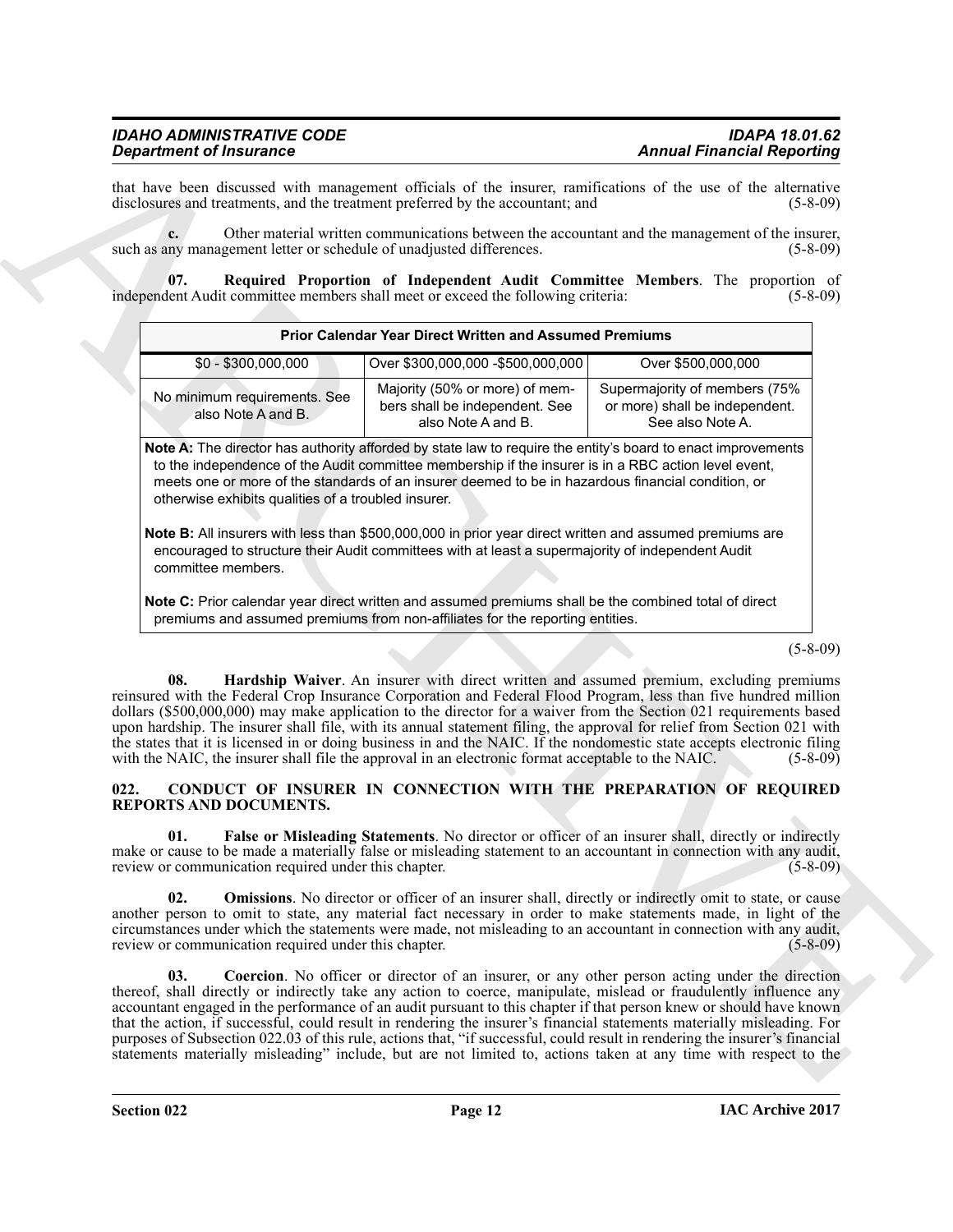<span id="page-11-6"></span>

| <b>Department of Insurance</b>                                                                                    |                                                                                                                                                                                                                                                                                                                            | <b>Annual Financial Reporting</b>                                                                                                                                                                                                                                                                                                                                                                                                                                                                                                                                                                                                                                                                                         |
|-------------------------------------------------------------------------------------------------------------------|----------------------------------------------------------------------------------------------------------------------------------------------------------------------------------------------------------------------------------------------------------------------------------------------------------------------------|---------------------------------------------------------------------------------------------------------------------------------------------------------------------------------------------------------------------------------------------------------------------------------------------------------------------------------------------------------------------------------------------------------------------------------------------------------------------------------------------------------------------------------------------------------------------------------------------------------------------------------------------------------------------------------------------------------------------------|
| disclosures and treatments, and the treatment preferred by the accountant; and                                    |                                                                                                                                                                                                                                                                                                                            | that have been discussed with management officials of the insurer, ramifications of the use of the alternative<br>$(5-8-09)$                                                                                                                                                                                                                                                                                                                                                                                                                                                                                                                                                                                              |
| such as any management letter or schedule of unadjusted differences.                                              |                                                                                                                                                                                                                                                                                                                            | Other material written communications between the accountant and the management of the insurer,<br>$(5-8-09)$                                                                                                                                                                                                                                                                                                                                                                                                                                                                                                                                                                                                             |
| 07.<br>independent Audit committee members shall meet or exceed the following criteria:                           |                                                                                                                                                                                                                                                                                                                            | Required Proportion of Independent Audit Committee Members. The proportion of<br>$(5 - 8 - 09)$                                                                                                                                                                                                                                                                                                                                                                                                                                                                                                                                                                                                                           |
|                                                                                                                   | <b>Prior Calendar Year Direct Written and Assumed Premiums</b>                                                                                                                                                                                                                                                             |                                                                                                                                                                                                                                                                                                                                                                                                                                                                                                                                                                                                                                                                                                                           |
| $$0 - $300,000,000$                                                                                               | Over \$300,000,000 - \$500,000,000                                                                                                                                                                                                                                                                                         | Over \$500,000,000                                                                                                                                                                                                                                                                                                                                                                                                                                                                                                                                                                                                                                                                                                        |
| No minimum requirements. See<br>also Note A and B.                                                                | Majority (50% or more) of mem-<br>bers shall be independent. See<br>also Note A and B.                                                                                                                                                                                                                                     | Supermajority of members (75%<br>or more) shall be independent.<br>See also Note A.                                                                                                                                                                                                                                                                                                                                                                                                                                                                                                                                                                                                                                       |
| otherwise exhibits qualities of a troubled insurer.                                                               | Note A: The director has authority afforded by state law to require the entity's board to enact improvements<br>to the independence of the Audit committee membership if the insurer is in a RBC action level event,<br>meets one or more of the standards of an insurer deemed to be in hazardous financial condition, or |                                                                                                                                                                                                                                                                                                                                                                                                                                                                                                                                                                                                                                                                                                                           |
| committee members.                                                                                                | Note B: All insurers with less than \$500,000,000 in prior year direct written and assumed premiums are<br>encouraged to structure their Audit committees with at least a supermajority of independent Audit                                                                                                               |                                                                                                                                                                                                                                                                                                                                                                                                                                                                                                                                                                                                                                                                                                                           |
|                                                                                                                   | Note C: Prior calendar year direct written and assumed premiums shall be the combined total of direct<br>premiums and assumed premiums from non-affiliates for the reporting entities.                                                                                                                                     |                                                                                                                                                                                                                                                                                                                                                                                                                                                                                                                                                                                                                                                                                                                           |
|                                                                                                                   |                                                                                                                                                                                                                                                                                                                            | $(5 - 8 - 09)$                                                                                                                                                                                                                                                                                                                                                                                                                                                                                                                                                                                                                                                                                                            |
| 08.<br>with the NAIC, the insurer shall file the approval in an electronic format acceptable to the NAIC.<br>022. |                                                                                                                                                                                                                                                                                                                            | Hardship Waiver. An insurer with direct written and assumed premium, excluding premiums<br>reinsured with the Federal Crop Insurance Corporation and Federal Flood Program, less than five hundred million<br>dollars (\$500,000,000) may make application to the director for a waiver from the Section 021 requirements based<br>upon hardship. The insurer shall file, with its annual statement filing, the approval for relief from Section 021 with<br>the states that it is licensed in or doing business in and the NAIC. If the nondomestic state accepts electronic filing<br>$(5 - 8 - 09)$<br>CONDUCT OF INSURER IN CONNECTION WITH THE PREPARATION OF REQUIRED                                               |
| <b>REPORTS AND DOCUMENTS.</b>                                                                                     |                                                                                                                                                                                                                                                                                                                            |                                                                                                                                                                                                                                                                                                                                                                                                                                                                                                                                                                                                                                                                                                                           |
| 01.<br>review or communication required under this chapter.                                                       |                                                                                                                                                                                                                                                                                                                            | False or Misleading Statements. No director or officer of an insurer shall, directly or indirectly<br>make or cause to be made a materially false or misleading statement to an accountant in connection with any audit,<br>$(5-8-09)$                                                                                                                                                                                                                                                                                                                                                                                                                                                                                    |
| 02.<br>review or communication required under this chapter.                                                       |                                                                                                                                                                                                                                                                                                                            | <b>Omissions</b> . No director or officer of an insurer shall, directly or indirectly omit to state, or cause<br>another person to omit to state, any material fact necessary in order to make statements made, in light of the<br>circumstances under which the statements were made, not misleading to an accountant in connection with any audit,<br>$(5-8-09)$                                                                                                                                                                                                                                                                                                                                                        |
| 03.                                                                                                               |                                                                                                                                                                                                                                                                                                                            | Coercion. No officer or director of an insurer, or any other person acting under the direction<br>thereof, shall directly or indirectly take any action to coerce, manipulate, mislead or fraudulently influence any<br>accountant engaged in the performance of an audit pursuant to this chapter if that person knew or should have known<br>that the action, if successful, could result in rendering the insurer's financial statements materially misleading. For<br>purposes of Subsection 022.03 of this rule, actions that, "if successful, could result in rendering the insurer's financial<br>statements materially misleading" include, but are not limited to, actions taken at any time with respect to the |
|                                                                                                                   |                                                                                                                                                                                                                                                                                                                            |                                                                                                                                                                                                                                                                                                                                                                                                                                                                                                                                                                                                                                                                                                                           |

#### <span id="page-11-5"></span><span id="page-11-4"></span><span id="page-11-3"></span><span id="page-11-2"></span><span id="page-11-1"></span><span id="page-11-0"></span>**022. CONDUCT OF INSURER IN CONNECTION WITH THE PREPARATION OF REQUIRED REPORTS AND DOCUMENTS.**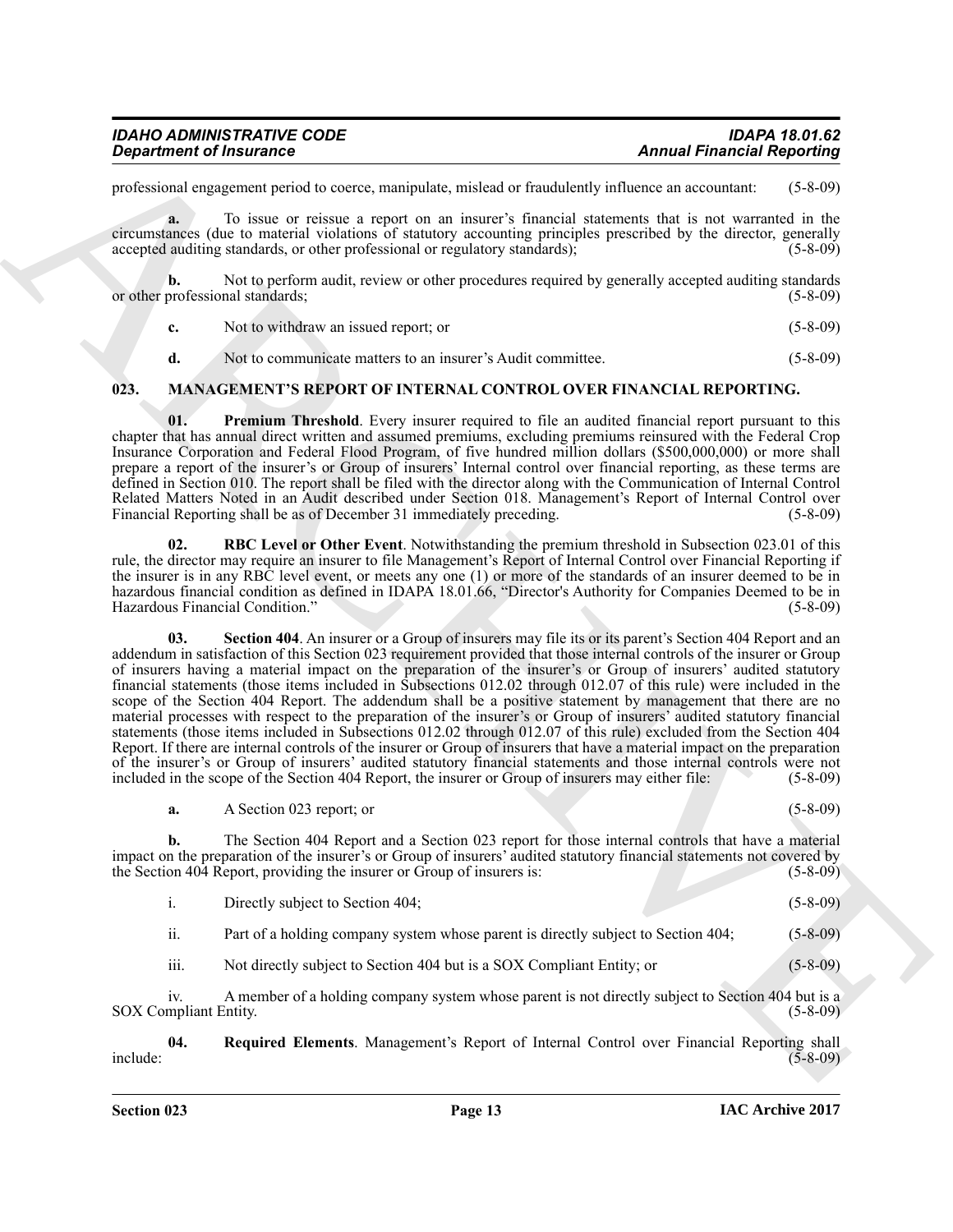| <b>IDAHO ADMINISTRATIVE CODE</b> | <b>IDAPA 18.01.62</b>             |
|----------------------------------|-----------------------------------|
| <b>Department of Insurance</b>   | <b>Annual Financial Reporting</b> |

professional engagement period to coerce, manipulate, mislead or fraudulently influence an accountant: (5-8-09)

**a.** To issue or reissue a report on an insurer's financial statements that is not warranted in the circumstances (due to material violations of statutory accounting principles prescribed by the director, generally accepted auditing standards, or other professional or regulatory standards); (5-8-09)

**b.** Not to perform audit, review or other procedures required by generally accepted auditing standards or other professional standards; (5-8-09)

**c.** Not to withdraw an issued report; or (5-8-09)

<span id="page-12-2"></span><span id="page-12-1"></span>**d.** Not to communicate matters to an insurer's Audit committee. (5-8-09)

#### <span id="page-12-0"></span>**023. MANAGEMENT'S REPORT OF INTERNAL CONTROL OVER FINANCIAL REPORTING.**

**01.** Premium Threshold. Every insurer required to file an audited financial report pursuant to this chapter that has annual direct written and assumed premiums, excluding premiums reinsured with the Federal Crop Insurance Corporation and Federal Flood Program, of five hundred million dollars (\$500,000,000) or more shall prepare a report of the insurer's or Group of insurers' Internal control over financial reporting, as these terms are defined in Section 010. The report shall be filed with the director along with the Communication of Internal Control Related Matters Noted in an Audit described under Section 018. Management's Report of Internal Control over<br>Financial Reporting shall be as of December 31 immediately preceding. (5-8-09) Financial Reporting shall be as of December 31 immediately preceding.

<span id="page-12-5"></span><span id="page-12-3"></span>**02.** RBC Level or Other Event. Notwithstanding the premium threshold in Subsection 023.01 of this rule, the director may require an insurer to file Management's Report of Internal Control over Financial Reporting if the insurer is in any RBC level event, or meets any one (1) or more of the standards of an insurer deemed to be in hazardous financial condition as defined in IDAPA 18.01.66, "Director's Authority for Companies Deemed to be in<br>Hazardous Financial Condition." (5-8-09) Hazardous Financial Condition.'

**Expansion of Francesco Computer, and the system of Francesco Computer (Annual Francesco Computer Systems)**<br>
procedure to the system of the system of the system of the system of the system of the system of the system of t **03. Section 404**. An insurer or a Group of insurers may file its or its parent's Section 404 Report and an addendum in satisfaction of this Section 023 requirement provided that those internal controls of the insurer or Group of insurers having a material impact on the preparation of the insurer's or Group of insurers' audited statutory financial statements (those items included in Subsections 012.02 through 012.07 of this rule) were included in the scope of the Section 404 Report. The addendum shall be a positive statement by management that there are no material processes with respect to the preparation of the insurer's or Group of insurers' audited statutory financial statements (those items included in Subsections 012.02 through 012.07 of this rule) excluded from the Section 404 Report. If there are internal controls of the insurer or Group of insurers that have a material impact on the preparation of the insurer's or Group of insurers' audited statutory financial statements and those internal controls were not included in the scope of the Section 404 Report, the insurer or Group of insurers may either file: (5-8-09) included in the scope of the Section 404 Report, the insurer or Group of insurers may either file:

|  | A Section 023 report; or |  |  | $(5 - 8 - 09)$ |
|--|--------------------------|--|--|----------------|
|--|--------------------------|--|--|----------------|

**b.** The Section 404 Report and a Section 023 report for those internal controls that have a material impact on the preparation of the insurer's or Group of insurers' audited statutory financial statements not covered by the Section 404 Report, providing the insurer or Group of insurers is: (5-8-09) the Section 404 Report, providing the insurer or Group of insurers is:

| Directly subject to Section 404; |  | $(5 - 8 - 09)$ |  |
|----------------------------------|--|----------------|--|
|                                  |  |                |  |

ii. Part of a holding company system whose parent is directly subject to Section 404; (5-8-09)

<span id="page-12-4"></span>iii. Not directly subject to Section 404 but is a SOX Compliant Entity; or (5-8-09)

iv. A member of a holding company system whose parent is not directly subject to Section 404 but is a SOX Compliant Entity. (5-8-09)

**04. Required Elements**. Management's Report of Internal Control over Financial Reporting shall include: (5-8-09)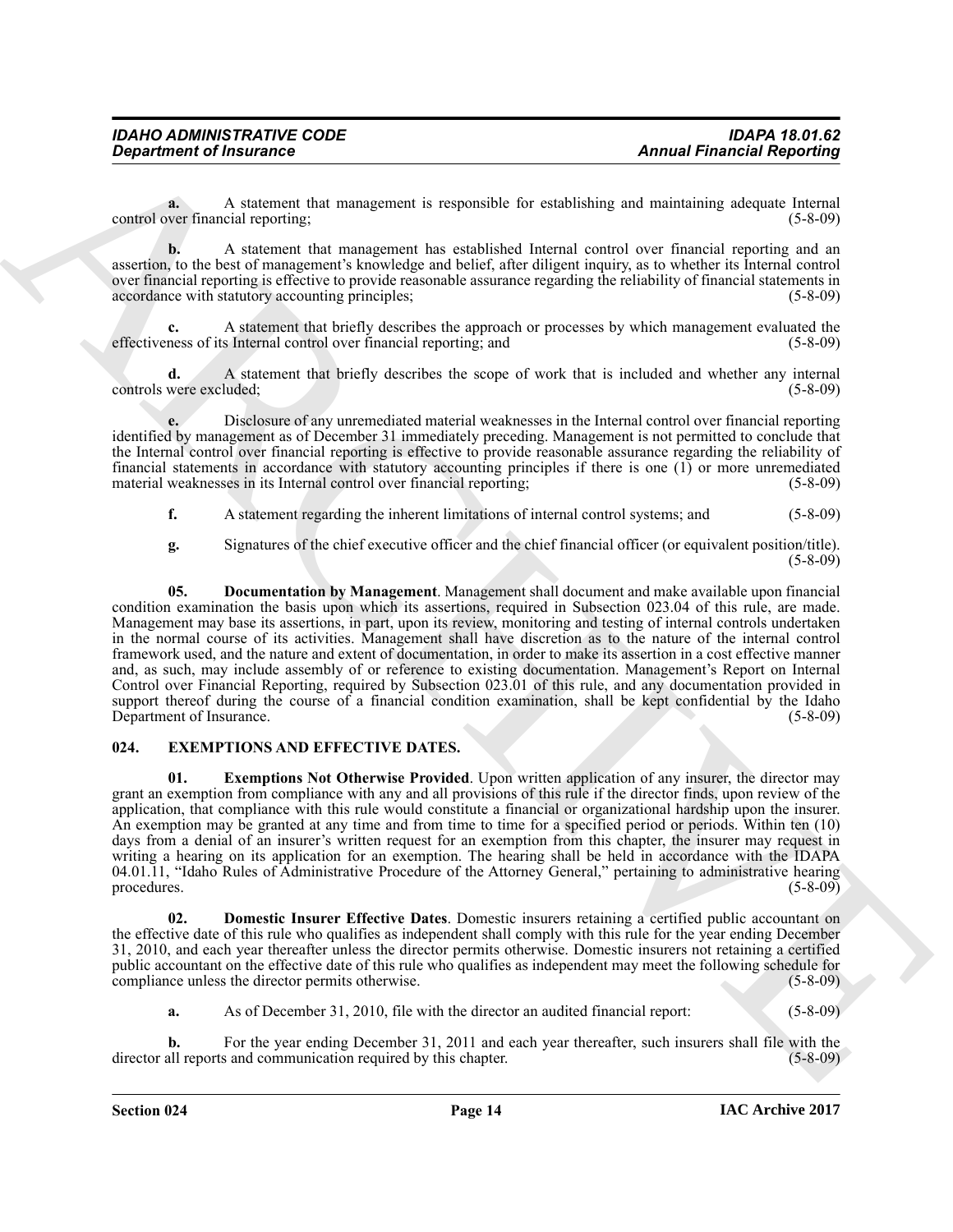**a.** A statement that management is responsible for establishing and maintaining adequate Internal ver financial reporting: (5-8-09) control over financial reporting;

**b.** A statement that management has established Internal control over financial reporting and an assertion, to the best of management's knowledge and belief, after diligent inquiry, as to whether its Internal control over financial reporting is effective to provide reasonable assurance regarding the reliability of financial statements in accordance with statutory accounting principles; (5-8-09) (5-8-09)

A statement that briefly describes the approach or processes by which management evaluated the s Internal control over financial reporting, and (5-8-09) effectiveness of its Internal control over financial reporting; and

**d.** A statement that briefly describes the scope of work that is included and whether any internal were excluded: (5-8-09) controls were excluded;

**e.** Disclosure of any unremediated material weaknesses in the Internal control over financial reporting identified by management as of December 31 immediately preceding. Management is not permitted to conclude that the Internal control over financial reporting is effective to provide reasonable assurance regarding the reliability of financial statements in accordance with statutory accounting principles if there is one (1) or more unremediated material weaknesses in its Internal control over financial reporting; (5-8-09) material weaknesses in its Internal control over financial reporting;

**f.** A statement regarding the inherent limitations of internal control systems; and  $(5-8-09)$ 

<span id="page-13-1"></span>**g.** Signatures of the chief executive officer and the chief financial officer (or equivalent position/title). (5-8-09)

**Exparament of fractraces** the material is considered to traditional interaction (Annual Francesco Reporting<br>
contraction of the stationary electric is equivalent to traditionary electric is equivalent to the stationary e **05. Documentation by Management**. Management shall document and make available upon financial condition examination the basis upon which its assertions, required in Subsection 023.04 of this rule, are made. Management may base its assertions, in part, upon its review, monitoring and testing of internal controls undertaken in the normal course of its activities. Management shall have discretion as to the nature of the internal control framework used, and the nature and extent of documentation, in order to make its assertion in a cost effective manner and, as such, may include assembly of or reference to existing documentation. Management's Report on Internal Control over Financial Reporting, required by Subsection 023.01 of this rule, and any documentation provided in support thereof during the course of a financial condition examination, shall be kept confidential by the Idaho<br>Department of Insurance. (5-8-09) Department of Insurance.

#### <span id="page-13-2"></span><span id="page-13-0"></span>**024. EXEMPTIONS AND EFFECTIVE DATES.**

<span id="page-13-4"></span>**01. Exemptions Not Otherwise Provided**. Upon written application of any insurer, the director may grant an exemption from compliance with any and all provisions of this rule if the director finds, upon review of the application, that compliance with this rule would constitute a financial or organizational hardship upon the insurer. An exemption may be granted at any time and from time to time for a specified period or periods. Within ten (10) days from a denial of an insurer's written request for an exemption from this chapter, the insurer may request in writing a hearing on its application for an exemption. The hearing shall be held in accordance with the IDAPA 04.01.11, "Idaho Rules of Administrative Procedure of the Attorney General," pertaining to administrative hearing procedures. (5-8-09) procedures. (5-8-09)

<span id="page-13-3"></span>**02. Domestic Insurer Effective Dates**. Domestic insurers retaining a certified public accountant on the effective date of this rule who qualifies as independent shall comply with this rule for the year ending December 31, 2010, and each year thereafter unless the director permits otherwise. Domestic insurers not retaining a certified public accountant on the effective date of this rule who qualifies as independent may meet the following schedule for compliance unless the director permits otherwise. (5-8-09)

**a.** As of December 31, 2010, file with the director an audited financial report: (5-8-09)

**b.** For the year ending December 31, 2011 and each year thereafter, such insurers shall file with the all reports and communication required by this chapter. (5-8-09) director all reports and communication required by this chapter.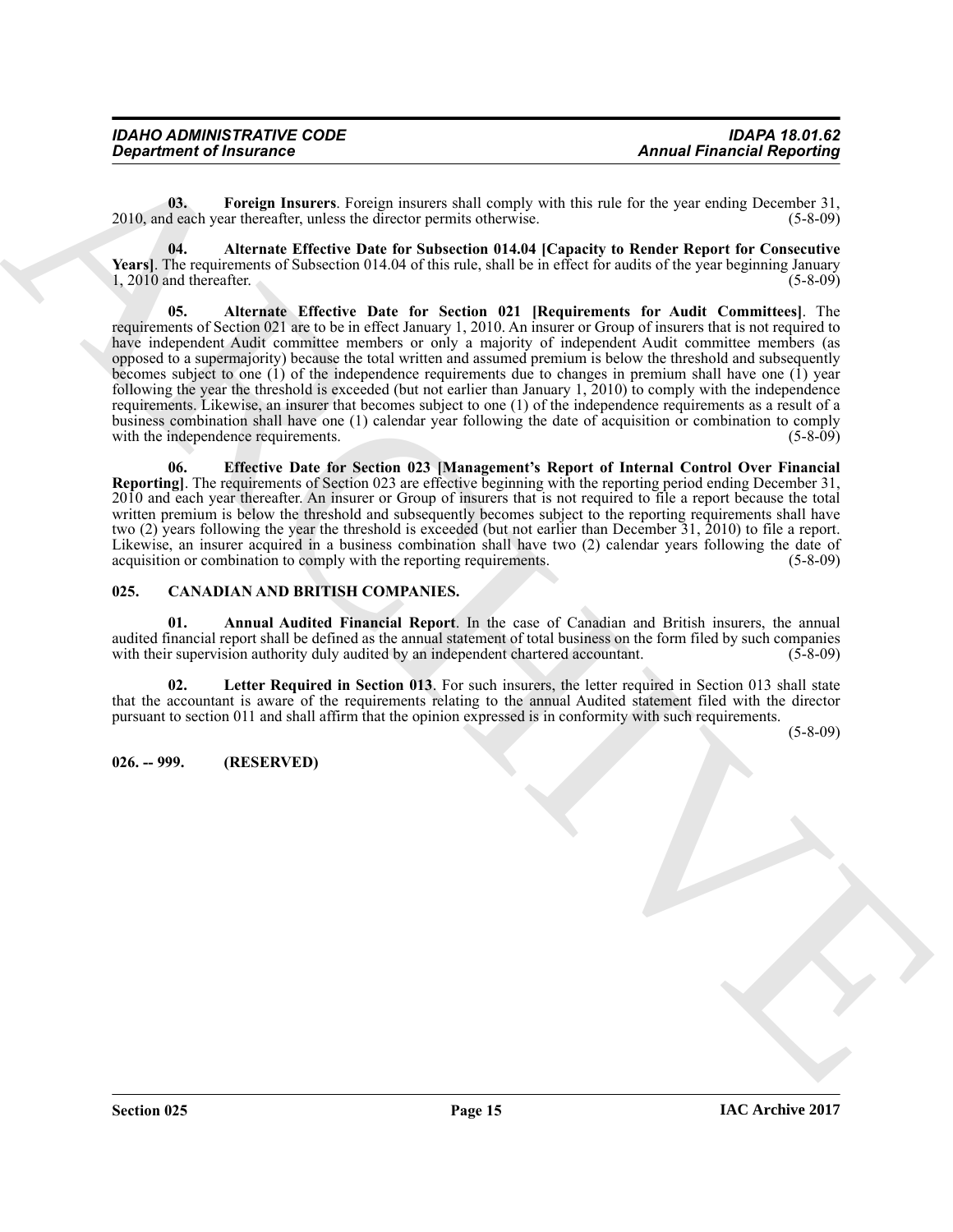| <b>IDAHO ADMINISTRATIVE CODE</b> | <b>IDAPA 18.01.62</b>             |
|----------------------------------|-----------------------------------|
| <b>Department of Insurance</b>   | <b>Annual Financial Reporting</b> |

<span id="page-14-6"></span>**03. Foreign Insurers**. Foreign insurers shall comply with this rule for the year ending December 31, 2010, and each year thereafter, unless the director permits otherwise. (5-8-09)

<span id="page-14-8"></span><span id="page-14-5"></span>**04. Alternate Effective Date for Subsection 014.04 [Capacity to Render Report for Consecutive Years**]. The requirements of Subsection 014.04 of this rule, shall be in effect for audits of the year beginning January 1, 2010 and thereafter. (5-8-09)  $1, 2010$  and thereafter.

**Annual Francisco Propries Constraints Constraint State Section 10. Annual Francisco Propries Constraint State Section 20. Annual Francisco Propries Constraint State Section 20. An alternative constraints Christian Constr 05. Alternate Effective Date for Section 021 [Requirements for Audit Committees]**. The requirements of Section 021 are to be in effect January 1, 2010. An insurer or Group of insurers that is not required to have independent Audit committee members or only a majority of independent Audit committee members (as opposed to a supermajority) because the total written and assumed premium is below the threshold and subsequently becomes subject to one (1) of the independence requirements due to changes in premium shall have one (1) year following the year the threshold is exceeded (but not earlier than January 1, 2010) to comply with the independence requirements. Likewise, an insurer that becomes subject to one (1) of the independence requirements as a result of a business combination shall have one (1) calendar year following the date of acquisition or combination to comply with the independence requirements. (5-8-09) with the independence requirements.

<span id="page-14-7"></span>**06. Effective Date for Section 023 [Management's Report of Internal Control Over Financial Reporting]**. The requirements of Section 023 are effective beginning with the reporting period ending December 31, 2010 and each year thereafter. An insurer or Group of insurers that is not required to file a report because the total written premium is below the threshold and subsequently becomes subject to the reporting requirements shall have two (2) years following the year the threshold is exceeded (but not earlier than December 31, 2010) to file a report. Likewise, an insurer acquired in a business combination shall have two (2) calendar years following the date of acquisition or combination to comply with the reporting requirements. (5-8-09)

#### <span id="page-14-2"></span><span id="page-14-0"></span>**025. CANADIAN AND BRITISH COMPANIES.**

<span id="page-14-3"></span>**01. Annual Audited Financial Report**. In the case of Canadian and British insurers, the annual audited financial report shall be defined as the annual statement of total business on the form filed by such companies with their supervision authority duly audited by an independent chartered accountant. (5-8-09) with their supervision authority duly audited by an independent chartered accountant.

<span id="page-14-4"></span>**Letter Required in Section 013**. For such insurers, the letter required in Section 013 shall state that the accountant is aware of the requirements relating to the annual Audited statement filed with the director pursuant to section 011 and shall affirm that the opinion expressed is in conformity with such requirements.

(5-8-09)

#### <span id="page-14-1"></span>**026. -- 999. (RESERVED)**